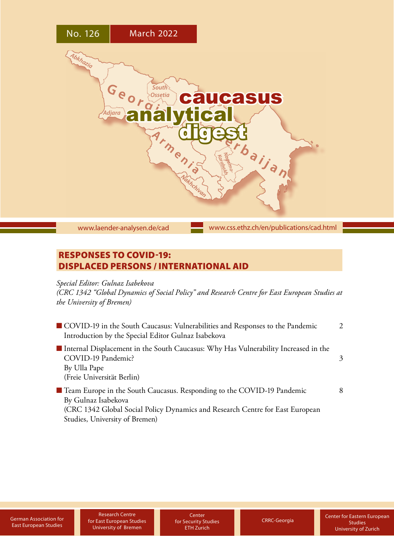

[www.laender-analysen.de/cad](http://www.laender-analysen.de/cad)

[www.css.ethz.ch/en/publications/cad.html](http://www.css.ethz.ch/en/publications/cad.html)

# RESPONSES TO COVID-19: DISPLACED PERSONS / INTERNATIONAL AID

# *Special Editor: Gulnaz Isabekova*

*(CRC 1342 "Global Dynamics of Social Policy" and Research Centre for East European Studies at the University of Bremen)*

| COVID-19 in the South Caucasus: Vulnerabilities and Responses to the Pandemic<br>Introduction by the Special Editor Gulnaz Isabekova                                             | $\mathcal{L}$ |
|----------------------------------------------------------------------------------------------------------------------------------------------------------------------------------|---------------|
| Internal Displacement in the South Caucasus: Why Has Vulnerability Increased in the<br>COVID-19 Pandemic?<br>By Ulla Pape<br>(Freie Universität Berlin)                          | $\mathcal{Z}$ |
| ■ Team Europe in the South Caucasus. Responding to the COVID-19 Pandemic<br>By Gulnaz Isabekova<br>(CRC 1342 Global Social Policy Dynamics and Research Centre for East European | 8             |

[Studies, University of Bremen\)](#page-7-0)

Research Centre [German Association for](https://www.dgo-online.org/international/english/)<br>
East European Studies<br>
Liniversity of Rremen CTH Zurich [CRRC-Georgia](http://crrc.ge/en/) University of Bremen

**Center** for Security Studies ETH Zurich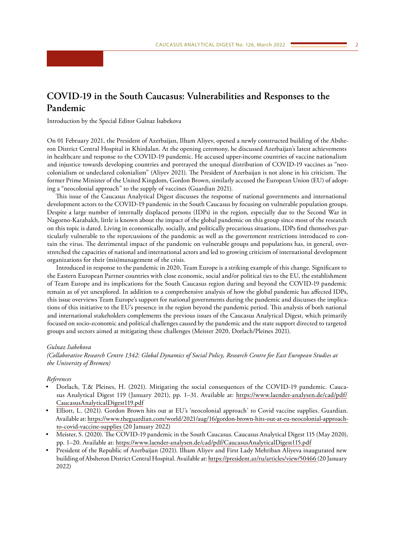# <span id="page-1-0"></span>**COVID-19 in the South Caucasus: Vulnerabilities and Responses to the Pandemic**

Introduction by the Special Editor Gulnaz Isabekova

On 01 February 2021, the President of Azerbaijan, Ilham Aliyev, opened a newly constructed building of the Absheron District Central Hospital in Khirdalan. At the opening ceremony, he discussed Azerbaijan's latest achievements in healthcare and response to the COVID-19 pandemic. He accused upper-income countries of vaccine nationalism and injustice towards developing countries and portrayed the unequal distribution of COVID-19 vaccines as "neocolonialism or undeclared colonialism" (Aliyev 2021). The President of Azerbaijan is not alone in his criticism. The former Prime Minister of the United Kingdom, Gordon Brown, similarly accused the European Union (EU) of adopting a "neocolonial approach" to the supply of vaccines (Guardian 2021).

This issue of the Caucasus Analytical Digest discusses the response of national governments and international development actors to the COVID-19 pandemic in the South Caucasus by focusing on vulnerable population groups. Despite a large number of internally displaced persons (IDPs) in the region, especially due to the Second War in Nagorno-Karabakh, little is known about the impact of the global pandemic on this group since most of the research on this topic is dated. Living in economically, socially, and politically precarious situations, IDPs find themselves particularly vulnerable to the repercussions of the pandemic as well as the government restrictions introduced to contain the virus. The detrimental impact of the pandemic on vulnerable groups and populations has, in general, overstretched the capacities of national and international actors and led to growing criticism of international development organizations for their (mis)management of the crisis.

Introduced in response to the pandemic in 2020, Team Europe is a striking example of this change. Significant to the Eastern European Partner countries with close economic, social and/or political ties to the EU, the establishment of Team Europe and its implications for the South Caucasus region during and beyond the COVID-19 pandemic remain as of yet unexplored. In addition to a comprehensive analysis of how the global pandemic has affected IDPs, this issue overviews Team Europe's support for national governments during the pandemic and discusses the implications of this initiative to the EU's presence in the region beyond the pandemic period. This analysis of both national and international stakeholders complements the previous issues of the Caucasus Analytical Digest, which primarily focused on socio-economic and political challenges caused by the pandemic and the state support directed to targeted groups and sectors aimed at mitigating these challenges (Meister 2020, Dorlach/Pleines 2021).

#### *Gulnaz Isabekova*

*(Collaborative Research Centre 1342: Global Dynamics of Social Policy, Research Centre for East European Studies at the University of Bremen)*

### *References*

- Dorlach, T.& Pleines, H. (2021). Mitigating the social consequences of the COVID-19 pandemic. Caucasus Analytical Digest 119 (January 2021), pp. 1–31. Available at: [https://www.laender-analysen.de/cad/pdf/](https://www.laender-analysen.de/cad/pdf/CaucasusAnalyticalDigest119.pdf) [CaucasusAnalyticalDigest119.pdf](https://www.laender-analysen.de/cad/pdf/CaucasusAnalyticalDigest119.pdf)
- Elliott, L. (2021). Gordon Brown hits out at EU's 'neocolonial approach' to Covid vaccine supplies. Guardian. Available at: [https://www.theguardian.com/world/2021/aug/16/gordon-brown-hits-out-at-eu-neocolonial-approach](https://www.theguardian.com/world/2021/aug/16/gordon-brown-hits-out-at-eu-neocolonial-approach-to-covid-vaccine-supplies)[to-covid-vaccine-supplies](https://www.theguardian.com/world/2021/aug/16/gordon-brown-hits-out-at-eu-neocolonial-approach-to-covid-vaccine-supplies) (20 January 2022)
- Meister, S. (2020). The COVID-19 pandemic in the South Caucasus. Caucasus Analytical Digest 115 (May 2020), pp. 1–20. Available at:<https://www.laender-analysen.de/cad/pdf/CaucasusAnalyticalDigest115.pdf>
- President of the Republic of Azerbaijan (2021). Ilham Aliyev and First Lady Mehriban Aliyeva inaugurated new building of Absheron District Central Hospital. Available at:<https://president.az/ru/articles/view/50466> (20 January 2022)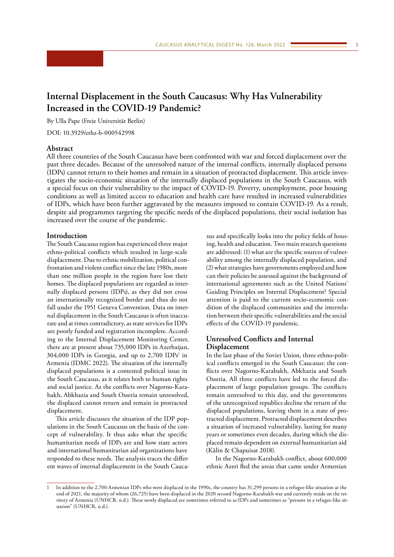# <span id="page-2-0"></span>**Internal Displacement in the South Caucasus: Why Has Vulnerability Increased in the COVID-19 Pandemic?**

By Ulla Pape (Freie Universität Berlin)

DOI: 10.3929/ethz-b-000542998

## **Abstract**

All three countries of the South Caucasus have been confronted with war and forced displacement over the past three decades. Because of the unresolved nature of the internal conflicts, internally displaced persons (IDPs) cannot return to their homes and remain in a situation of protracted displacement. This article investigates the socio-economic situation of the internally displaced populations in the South Caucasus, with a special focus on their vulnerability to the impact of COVID-19. Poverty, unemployment, poor housing conditions as well as limited access to education and health care have resulted in increased vulnerabilities of IDPs, which have been further aggravated by the measures imposed to contain COVID-19. As a result, despite aid programmes targeting the specific needs of the displaced populations, their social isolation has increased over the course of the pandemic.

## **Introduction**

The South Caucasus region has experienced three major ethno-political conflicts which resulted in large-scale displacement. Due to ethnic mobilization, political confrontation and violent conflict since the late 1980s, more than one million people in the region have lost their homes. The displaced populations are regarded as internally displaced persons (IDPs), as they did not cross an internationally recognized border and thus do not fall under the 1951 Geneva Convention. Data on internal displacement in the South Caucasus is often inaccurate and at times contradictory, as state services for IDPs are poorly funded and registration incomplete. According to the Internal Displacement Monitoring Center, there are at present about 735,000 IDPs in Azerbaijan,  $304,000$  IDPs in Georgia, and up to 2,700 IDPs<sup>1</sup> in Armenia (IDMC 2022). The situation of the internally displaced populations is a contested political issue in the South Caucasus, as it relates both to human rights and social justice. As the conflicts over Nagorno-Karabakh, Abkhazia and South Ossetia remain unresolved, the displaced cannot return and remain in protracted displacement.

This article discusses the situation of the IDP populations in the South Caucasus on the basis of the concept of vulnerability. It thus asks what the specific humanitarian needs of IDPs are and how state actors and international humanitarian aid organizations have responded to these needs. The analysis traces the different waves of internal displacement in the South Caucasus and specifically looks into the policy fields of housing, health and education. Two main research questions are addressed: (1) what are the specific sources of vulnerability among the internally displaced population, and (2) what strategies have governments employed and how can their policies be assessed against the background of international agreements such as the United Nations' Guiding Principles on Internal Displacement? Special attention is paid to the current socio-economic condition of the displaced communities and the interrelation between their specific vulnerabilities and the social effects of the COVID-19 pandemic.

# **Unresolved Conflicts and Internal Displacement**

In the last phase of the Soviet Union, three ethno-political conflicts emerged in the South Caucasus: the conflicts over Nagorno-Karabakh, Abkhazia and South Ossetia. All three conflicts have led to the forced displacement of large population groups. The conflicts remain unresolved to this day, and the governments of the unrecognized republics decline the return of the displaced populations, leaving them in a state of protracted displacement. Protracted displacement describes a situation of increased vulnerability, lasting for many years or sometimes even decades, during which the displaced remain dependent on external humanitarian aid (Kälin & Chapuisat 2018).

In the Nagorno-Karabakh conflict, about 600,000 ethnic Azeri fled the areas that came under Armenian

<sup>1</sup> In addition to the 2,700 Armenian IDPs who were displaced in the 1990s, the country has 31,299 persons in a refugee-like situation at the end of 2021, the majority of whom (26,725) have been displaced in the 2020 second Nagorno-Karabakh war and currently reside on the territory of Armenia (UNHCR, n.d.). These newly displaced are sometimes referred to as IDPs and sometimes as "persons in a refugee-like situation" (UNHCR, n.d.).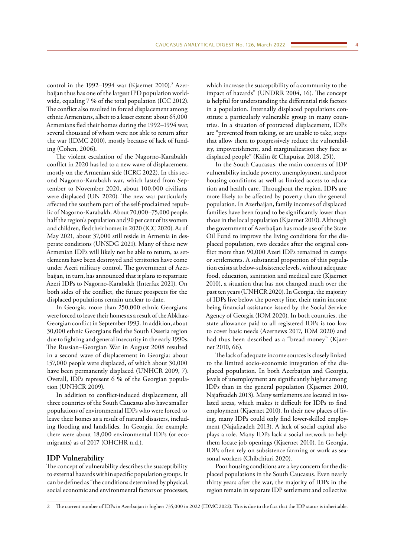control in the 1992–1994 war (Kjaernet 2010).<sup>2</sup> Azerbaijan thus has one of the largest IPD population worldwide, equaling 7 % of the total population (ICC 2012). The conflict also resulted in forced displacement among ethnic Armenians, albeit to a lesser extent: about 65,000 Armenians fled their homes during the 1992–1994 war, several thousand of whom were not able to return after the war (IDMC 2010), mostly because of lack of funding (Cohen, 2006).

The violent escalation of the Nagorno-Karabakh conflict in 2020 has led to a new wave of displacement, mostly on the Armenian side (ICRC 2022). In this second Nagorno-Karabakh war, which lasted from September to November 2020, about 100,000 civilians were displaced (UN 2020). The new war particularly affected the southern part of the self-proclaimed republic of Nagorno-Karabakh. About 70,000–75,000 people, half the region's population and 90 per cent of its women and children, fled their homes in 2020 (ICC 2020). As of May 2021, about 37,000 still reside in Armenia in desperate conditions (UNSDG 2021). Many of these new Armenian IDPs will likely not be able to return, as settlements have been destroyed and territories have come under Azeri military control. The government of Azerbaijan, in turn, has announced that it plans to repatriate Azeri IDPs to Nagorno-Karabakh (Interfax 2021). On both sides of the conflict, the future prospects for the displaced populations remain unclear to date.

In Georgia, more than 250,000 ethnic Georgians were forced to leave their homes as a result of the Abkhaz-Georgian conflict in September 1993. In addition, about 30,000 ethnic Georgians fled the South Ossetia region due to fighting and general insecurity in the early 1990s. The Russian–Georgian War in August 2008 resulted in a second wave of displacement in Georgia: about 157,000 people were displaced, of which about 30,000 have been permanently displaced (UNHCR 2009, 7). Overall, IDPs represent 6 % of the Georgian population (UNHCR 2009).

In addition to conflict-induced displacement, all three countries of the South Caucasus also have smaller populations of environmental IDPs who were forced to leave their homes as a result of natural disasters, including flooding and landslides. In Georgia, for example, there were about 18,000 environmental IDPs (or ecomigrants) as of 2017 (OHCHR n.d.).

## **IDP Vulnerability**

The concept of vulnerability describes the susceptibility to external hazards within specific population groups. It can be defined as "the conditions determined by physical, social economic and environmental factors or processes, which increase the susceptibility of a community to the impact of hazards" (UNDRR 2004, 16). The concept is helpful for understanding the differential risk factors in a population. Internally displaced populations constitute a particularly vulnerable group in many countries. In a situation of protracted displacement, IDPs are "prevented from taking, or are unable to take, steps that allow them to progressively reduce the vulnerability, impoverishment, and marginalization they face as displaced people" (Kälin & Chapuisat 2018, 251).

In the South Caucasus, the main concerns of IDP vulnerability include poverty, unemployment, and poor housing conditions as well as limited access to education and health care. Throughout the region, IDPs are more likely to be affected by poverty than the general population. In Azerbaijan, family incomes of displaced families have been found to be significantly lower than those in the local population (Kjaernet 2010). Although the government of Azerbaijan has made use of the State Oil Fund to improve the living conditions for the displaced population, two decades after the original conflict more than 90,000 Azeri IDPs remained in camps or settlements. A substantial proportion of this population exists at below-subsistence levels, without adequate food, education, sanitation and medical care (Kjaernet 2010), a situation that has not changed much over the past ten years (UNHCR 2020). In Georgia, the majority of IDPs live below the poverty line, their main income being financial assistance issued by the Social Service Agency of Georgia (IOM 2020). In both countries, the state allowance paid to all registered IDPs is too low to cover basic needs (Azernews 2017, IOM 2020) and had thus been described as a "bread money" (Kjaernet 2010, 66).

The lack of adequate income sources is closely linked to the limited socio-economic integration of the displaced population. In both Azerbaijan and Georgia, levels of unemployment are significantly higher among IDPs than in the general population (Kjaernet 2010, Najafizadeh 2013). Many settlements are located in isolated areas, which makes it difficult for IDPs to find employment (Kjaernet 2010). In their new places of living, many IDPs could only find lower-skilled employment (Najafizadeh 2013). A lack of social capital also plays a role. Many IDPs lack a social network to help them locate job openings (Kjaernet 2010). In Georgia, IDPs often rely on subsistence farming or work as seasonal workers (Chibchiuri 2020).

Poor housing conditions are a key concern for the displaced populations in the South Caucasus. Even nearly thirty years after the war, the majority of IDPs in the region remain in separate IDP settlement and collective

<sup>2</sup> The current number of IDPs in Azerbaijan is higher: 735,000 in 2022 (IDMC 2022). This is due to the fact that the IDP status is inheritable.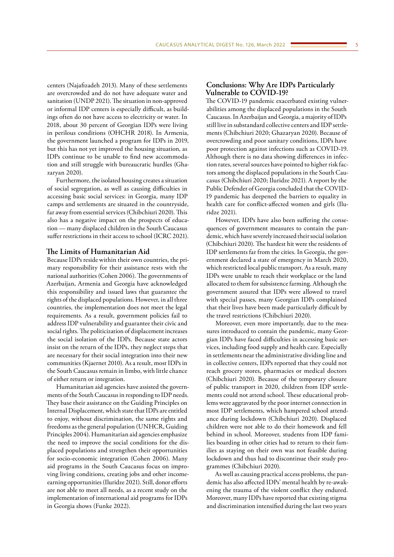centers (Najafizadeh 2013). Many of these settlements are overcrowded and do not have adequate water and sanitation (UNDP 2021). The situation in non-approved or informal IDP centers is especially difficult, as buildings often do not have access to electricity or water. In 2018, about 30 percent of Georgian IDPs were living in perilous conditions (OHCHR 2018). In Armenia, the government launched a program for IDPs in 2019, but this has not yet improved the housing situation, as IDPs continue to be unable to find new accommodation and still struggle with bureaucratic hurdles (Ghazaryan 2020).

Furthermore, the isolated housing creates a situation of social segregation, as well as causing difficulties in accessing basic social services: in Georgia, many IDP camps and settlements are situated in the countryside, far away from essential services (Chibchiuri 2020). This also has a negative impact on the prospects of education — many displaced children in the South Caucasus suffer restrictions in their access to school (ICRC 2021).

# **The Limits of Humanitarian Aid**

Because IDPs reside within their own countries, the primary responsibility for their assistance rests with the national authorities (Cohen 2006). The governments of Azerbaijan, Armenia and Georgia have acknowledged this responsibility and issued laws that guarantee the rights of the displaced populations. However, in all three countries, the implementation does not meet the legal requirements. As a result, government policies fail to address IDP vulnerability and guarantee their civic and social rights. The politicization of displacement increases the social isolation of the IDPs. Because state actors insist on the return of the IDPs, they neglect steps that are necessary for their social integration into their new communities (Kjaernet 2010). As a result, most IDPs in the South Caucasus remain in limbo, with little chance of either return or integration.

Humanitarian aid agencies have assisted the governments of the South Caucasus in responding to IDP needs. They base their assistance on the Guiding Principles on Internal Displacement, which state that IDPs are entitled to enjoy, without discrimination, the same rights and freedoms as the general population (UNHCR, Guiding Principles 2004). Humanitarian aid agencies emphasize the need to improve the social conditions for the displaced populations and strengthen their opportunities for socio-economic integration (Cohen 2006). Many aid programs in the South Caucasus focus on improving living conditions, creating jobs and other incomeearning opportunities (Iluridze 2021). Still, donor efforts are not able to meet all needs, as a recent study on the implementation of international aid programs for IDPs in Georgia shows (Funke 2022).

# **Conclusions: Why Are IDPs Particularly Vulnerable to COVID-19?**

The COVID-19 pandemic exacerbated existing vulnerabilities among the displaced populations in the South Caucasus. In Azerbaijan and Georgia, a majority of IDPs still live in substandard collective centers and IDP settlements (Chibchiuri 2020; Ghazaryan 2020). Because of overcrowding and poor sanitary conditions, IDPs have poor protection against infections such as COVID-19. Although there is no data showing differences in infection rates, several sources have pointed to higher risk factors among the displaced populations in the South Caucasus (Chibchiuri 2020; Iluridze 2021). A report by the Public Defender of Georgia concluded that the COVID-19 pandemic has deepened the barriers to equality in health care for conflict-affected women and girls (Iluridze 2021).

However, IDPs have also been suffering the consequences of government measures to contain the pandemic, which have severely increased their social isolation (Chibchiuri 2020). The hardest hit were the residents of IDP settlements far from the cities. In Georgia, the government declared a state of emergency in March 2020, which restricted local public transport. As a result, many IDPs were unable to reach their workplace or the land allocated to them for subsistence farming. Although the government assured that IDPs were allowed to travel with special passes, many Georgian IDPs complained that their lives have been made particularly difficult by the travel restrictions (Chibchiuri 2020).

Moreover, even more importantly, due to the measures introduced to contain the pandemic, many Georgian IDPs have faced difficulties in accessing basic services, including food supply and health care. Especially in settlements near the administrative dividing line and in collective centers, IDPs reported that they could not reach grocery stores, pharmacies or medical doctors (Chibchiuri 2020). Because of the temporary closure of public transport in 2020, children from IDP settlements could not attend school. These educational problems were aggravated by the poor internet connection in most IDP settlements, which hampered school attendance during lockdown (Chibchiuri 2020). Displaced children were not able to do their homework and fell behind in school. Moreover, students from IDP families boarding in other cities had to return to their families as staying on their own was not feasible during lockdown and thus had to discontinue their study programmes (Chibchiuri 2020).

As well as causing practical access problems, the pandemic has also affected IDPs' mental health by re-awakening the trauma of the violent conflict they endured. Moreover, many IDPs have reported that existing stigma and discrimination intensified during the last two years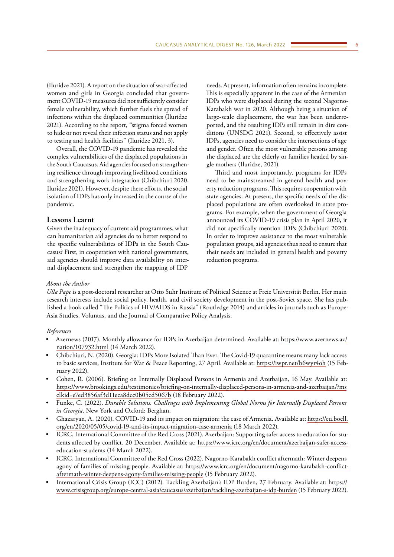(Iluridze 2021). A report on the situation of war-affected women and girls in Georgia concluded that government COVID-19 measures did not sufficiently consider female vulnerability, which further fuels the spread of infections within the displaced communities (Iluridze 2021). According to the report, "stigma forced women to hide or not reveal their infection status and not apply to testing and health facilities" (Iluridze 2021, 3).

Overall, the COVID-19 pandemic has revealed the complex vulnerabilities of the displaced populations in the South Caucasus. Aid agencies focused on strengthening resilience through improving livelihood conditions and strengthening work integration (Chibchiuri 2020, Iluridze 2021). However, despite these efforts, the social isolation of IDPs has only increased in the course of the pandemic.

# **Lessons Learnt**

Given the inadequacy of current aid programmes, what can humanitarian aid agencies do to better respond to the specific vulnerabilities of IDPs in the South Caucasus? First, in cooperation with national governments, aid agencies should improve data availability on internal displacement and strengthen the mapping of IDP

needs. At present, information often remains incomplete. This is especially apparent in the case of the Armenian IDPs who were displaced during the second Nagorno-Karabakh war in 2020. Although being a situation of large-scale displacement, the war has been underreported, and the resulting IDPs still remain in dire conditions (UNSDG 2021). Second, to effectively assist IDPs, agencies need to consider the intersections of age and gender. Often the most vulnerable persons among the displaced are the elderly or families headed by single mothers (Iluridze, 2021).

Third and most importantly, programs for IDPs need to be mainstreamed in general health and poverty reduction programs. This requires cooperation with state agencies. At present, the specific needs of the displaced populations are often overlooked in state programs. For example, when the government of Georgia announced its COVID-19 crisis plan in April 2020, it did not specifically mention IDPs (Chibchiuri 2020). In order to improve assistance to the most vulnerable population groups, aid agencies thus need to ensure that their needs are included in general health and poverty reduction programs.

## *About the Author*

*Ulla Pape* is a post-doctoral researcher at Otto Suhr Institute of Political Science at Freie Universität Berlin. Her main research interests include social policy, health, and civil society development in the post-Soviet space. She has published a book called "The Politics of HIV/AIDS in Russia" (Routledge 2014) and articles in journals such as Europe-Asia Studies, Voluntas, and the Journal of Comparative Policy Analysis.

## *References*

- Azernews (2017). Monthly allowance for IDPs in Azerbaijan determined. Available at: [https://www.azernews.az/](https://www.azernews.az/nation/107932.html) [nation/107932.html](https://www.azernews.az/nation/107932.html) (14 March 2022).
- Chibchiuri, N. (2020). Georgia: IDPs More Isolated Than Ever. The Covid-19 quarantine means many lack access to basic services, Institute for War & Peace Reporting, 27 April. Available at: <https://iwpr.net/b6wyr4oh> (15 February 2022).
- Cohen, R. (2006). Briefing on Internally Displaced Persons in Armenia and Azerbaijan, 16 May. Available at: [https://www.brookings.edu/testimonies/briefing-on-internally-displaced-persons-in-armenia-and-azerbaijan/?ms](https://www.brookings.edu/testimonies/briefing-on-internally-displaced-persons-in-armenia-and-azerbaijan/?msclkid=e7ed3856af3d11eca8dcc0b05cd5067b) [clkid=e7ed3856af3d11eca8dcc0b05cd5067b](https://www.brookings.edu/testimonies/briefing-on-internally-displaced-persons-in-armenia-and-azerbaijan/?msclkid=e7ed3856af3d11eca8dcc0b05cd5067b) (18 February 2022).
- Funke, C. (2022). *Durable Solutions. Challenges with Implementing Global Norms for Internally Displaced Persons in Georgia*, New York and Oxford: Berghan.
- Ghazaryan, A. (2020). COVID-19 and its impact on migration: the case of Armenia. Available at: [https://eu.boell.](https://eu.boell.org/en/2020/05/05/covid-19-and-its-impact-migration-case-armenia) [org/en/2020/05/05/covid-19-and-its-impact-migration-case-armenia](https://eu.boell.org/en/2020/05/05/covid-19-and-its-impact-migration-case-armenia) (18 March 2022).
- ICRC, International Committee of the Red Cross (2021). Azerbaijan: Supporting safer access to education for students affected by conflict, 20 December. Available at: [https://www.icrc.org/en/document/azerbaijan-safer-access](https://www.icrc.org/en/document/azerbaijan-safer-access-education-students)[education-students](https://www.icrc.org/en/document/azerbaijan-safer-access-education-students) (14 March 2022).
- ICRC, International Committee of the Red Cross (2022). Nagorno-Karabakh conflict aftermath: Winter deepens agony of families of missing people. Available at: [https://www.icrc.org/en/document/nagorno-karabakh-conflict](https://www.icrc.org/en/document/nagorno-karabakh-conflict-aftermath-winter-deepens-agony-families-missing-people)[aftermath-winter-deepens-agony-families-missing-people](https://www.icrc.org/en/document/nagorno-karabakh-conflict-aftermath-winter-deepens-agony-families-missing-people) (15 February 2022).
- International Crisis Group (ICC) (2012). Tackling Azerbaijan's IDP Burden, 27 February. Available at: [https://](https://www.crisisgroup.org/europe-central-asia/caucasus/azerbaijan/tackling-azerbaijan-s-idp-burden) [www.crisisgroup.org/europe-central-asia/caucasus/azerbaijan/tackling-azerbaijan-s-idp-burden](https://www.crisisgroup.org/europe-central-asia/caucasus/azerbaijan/tackling-azerbaijan-s-idp-burden) (15 February 2022).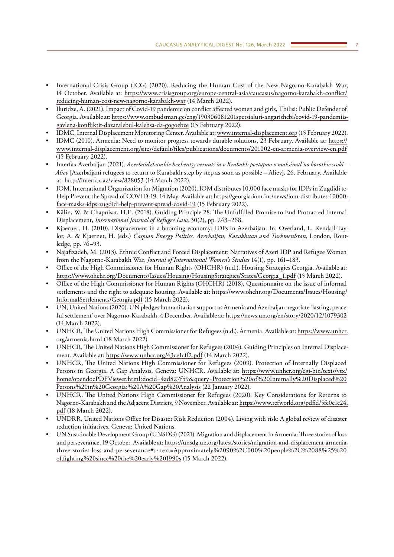- International Crisis Group (ICG) (2020). Reducing the Human Cost of the New Nagorno-Karabakh War, 14 October. Available at: [https://www.crisisgroup.org/europe-central-asia/caucasus/nagorno-karabakh-conflict/](https://www.crisisgroup.org/europe-central-asia/caucasus/nagorno-karabakh-conflict/reducing-human-cost-new-nagorno-karabakh-war) [reducing-human-cost-new-nagorno-karabakh-war](https://www.crisisgroup.org/europe-central-asia/caucasus/nagorno-karabakh-conflict/reducing-human-cost-new-nagorno-karabakh-war) (14 March 2022).
- Iluridze, A. (2021). Impact of Covid-19 pandemic on conflict affected women and girls, Tbilisi: Public Defender of Georgia. Available at: [https://www.ombudsman.ge/eng/190306081201spetsialuri-angarishebi/covid-19-pandemiis](https://www.ombudsman.ge/eng/190306081201spetsialuri-angarishebi/covid-19-pandemiis-gavlena-konfliktit-dazaralebul-kalebsa-da-gogoebze)[gavlena-konfliktit-dazaralebul-kalebsa-da-gogoebze](https://www.ombudsman.ge/eng/190306081201spetsialuri-angarishebi/covid-19-pandemiis-gavlena-konfliktit-dazaralebul-kalebsa-da-gogoebze) (15 February 2022).
- IDMC, Internal Displacement Monitoring Center. Available at: [www.internal-displacement.org](http://www.internal-displacement.org) (15 February 2022).
- IDMC (2010). Armenia: Need to monitor progress towards durable solutions, 23 February. Available at: [https://](https://www.internal-displacement.org/sites/default/files/publications/documents/201002-eu-armenia-overview-en.pdf) [www.internal-displacement.org/sites/default/files/publications/documents/201002-eu-armenia-overview-en.pdf](https://www.internal-displacement.org/sites/default/files/publications/documents/201002-eu-armenia-overview-en.pdf) (15 February 2022).
- Interfax Azerbaijan (2021). *Azerbaidzhanskie bezhentsy vernuts'ia v Krabakh poetapno v maksimal'no korotkie sroki Aliev* [Azerbaijani refugees to return to Karabakh step by step as soon as possible – Aliev], 26. February. Available at: <http://interfax.az/view/828053> (14 March 2022).
- IOM, International Organization for Migration (2020). IOM distributes 10,000 face masks for IDPs in Zugdidi to Help Prevent the Spread of COVID-19, 14 May. Available at: [https://georgia.iom.int/news/iom-distributes-10000](https://georgia.iom.int/news/iom-distributes-10000-face-masks-idps-zugdidi-help-prevent-spread-covid-19) [face-masks-idps-zugdidi-help-prevent-spread-covid-19](https://georgia.iom.int/news/iom-distributes-10000-face-masks-idps-zugdidi-help-prevent-spread-covid-19) (15 February 2022).
- Kälin, W. & Chapuisat, H.E. (2018). Guiding Principle 28. The Unfulfilled Promise to End Protracted Internal Displacement, *International Journal of Refugee Law*, 30(2), pp. 243–268.
- Kjaernet, H. (2010). Displacement in a booming economy: IDPs in Azerbaijan. In: Overland, I., Kendall-Taylor, A. & Kjaernet, H. (eds.) *Caspian Energy Politics. Azerbaijan, Kazakhstan and Turkmenistan*, London, Routledge, pp. 76–93.
- Najafizadeh, M. (2013). Ethnic Conflict and Forced Displacement: Narratives of Azeri IDP and Refugee Women from the Nagorno-Karabakh War, *Journal of International Women's Studies* 14(1), pp. 161–183.
- Office of the High Commissioner for Human Rights (OHCHR) (n.d.). Housing Strategies Georgia. Available at: [https://www.ohchr.org/Documents/Issues/Housing/HousingStrategies/States/Georgia\\_1.pdf](https://www.ohchr.org/Documents/Issues/Housing/HousingStrategies/States/Georgia_1.pdf) (15 March 2022).
- Office of the High Commissioner for Human Rights (OHCHR) (2018). Questionnaire on the issue of informal settlements and the right to adequate housing. Available at: [https://www.ohchr.org/Documents/Issues/Housing/](https://www.ohchr.org/Documents/Issues/Housing/InformalSettlements/Georgia.pdf) [InformalSettlements/Georgia.pdf](https://www.ohchr.org/Documents/Issues/Housing/InformalSettlements/Georgia.pdf) (15 March 2022).
- UN, United Nations (2020). UN pledges humanitarian support as Armenia and Azerbaijan negotiate 'lasting, peaceful settlement' over Nagorno-Karabakh, 4 December. Available at:<https://news.un.org/en/story/2020/12/1079302> (14 March 2022).
- UNHCR, The United Nations High Commissioner for Refugees (n.d.). Armenia. Available at: [https://www.unhcr.](https://www.unhcr.org/armenia.html) [org/armenia.html](https://www.unhcr.org/armenia.html) (18 March 2022).
- UNHCR, The United Nations High Commissioner for Refugees (2004). Guiding Principles on Internal Displacement. Available at:<https://www.unhcr.org/43ce1cff2.pdf>(14 March 2022).
- UNHCR, The United Nations High Commissioner for Refugees (2009). Protection of Internally Displaced Persons in Georgia. A Gap Analysis, Geneva: UNHCR. Available at: [https://www.unhcr.org/cgi-bin/texis/vtx/](https://www.unhcr.org/cgi-bin/texis/vtx/home/opendocPDFViewer.html?docid=4ad827f59&query=Protection of Internally Displaced Persons in Georgia: A Gap Analysis) [home/opendocPDFViewer.html?docid=4ad827f59&query=Protection%20of%20Internally%20Displaced%20](https://www.unhcr.org/cgi-bin/texis/vtx/home/opendocPDFViewer.html?docid=4ad827f59&query=Protection of Internally Displaced Persons in Georgia: A Gap Analysis) [Persons%20in%20Georgia:%20A%20Gap%20Analysis](https://www.unhcr.org/cgi-bin/texis/vtx/home/opendocPDFViewer.html?docid=4ad827f59&query=Protection of Internally Displaced Persons in Georgia: A Gap Analysis) (22 January 2022).
- UNHCR, The United Nations High Commissioner for Refugees (2020). Key Considerations for Returns to Nagorno-Karabakh and the Adjacent Districts, 9 November. Available at: [https://www.refworld.org/pdfid/5fc0e1e24.](https://www.refworld.org/pdfid/5fc0e1e24.pdf) [pdf](https://www.refworld.org/pdfid/5fc0e1e24.pdf) (18 March 2022).
- UNDRR, United Nations Office for Disaster Risk Reduction (2004). Living with risk: A global review of disaster reduction initiatives. Geneva: United Nations.
- UN Sustainable Development Group (UNSDG) (2021). Migration and displacement in Armenia: Three stories of loss and perseverance, 19 October. Available at: [https://unsdg.un.org/latest/stories/migration-and-displacement-armenia](https://unsdg.un.org/latest/stories/migration-and-displacement-armenia-three-stories-loss-and-perseverance#:~:text=Approximately 90%2C000 people%2C 88%25 of,fighting since the early 1990s)[three-stories-loss-and-perseverance#:~:text=Approximately%2090%2C000%20people%2C%2088%25%20](https://unsdg.un.org/latest/stories/migration-and-displacement-armenia-three-stories-loss-and-perseverance#:~:text=Approximately 90%2C000 people%2C 88%25 of,fighting since the early 1990s) [of,fighting%20since%20the%20early%201990s](https://unsdg.un.org/latest/stories/migration-and-displacement-armenia-three-stories-loss-and-perseverance#:~:text=Approximately 90%2C000 people%2C 88%25 of,fighting since the early 1990s) (15 March 2022).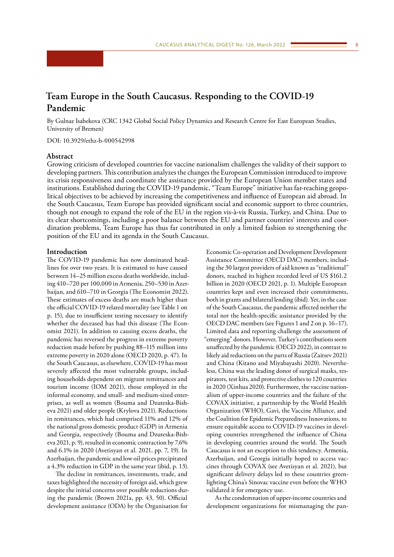# <span id="page-7-0"></span>**Team Europe in the South Caucasus. Responding to the COVID-19 Pandemic**

By Gulnaz Isabekova (CRC 1342 Global Social Policy Dynamics and Research Centre for East European Studies, University of Bremen)

DOI: 10.3929/ethz-b-000542998

## **Abstract**

Growing criticism of developed countries for vaccine nationalism challenges the validity of their support to developing partners. This contribution analyzes the changes the European Commission introduced to improve its crisis responsiveness and coordinate the assistance provided by the European Union member states and institutions. Established during the COVID-19 pandemic, "Team Europe" initiative has far-reaching geopolitical objectives to be achieved by increasing the competitiveness and influence of European aid abroad. In the South Caucasus, Team Europe has provided significant social and economic support to three countries, though not enough to expand the role of the EU in the region vis-à-vis Russia, Turkey, and China. Due to its clear shortcomings, including a poor balance between the EU and partner countries' interests and coordination problems, Team Europe has thus far contributed in only a limited fashion to strengthening the position of the EU and its agenda in the South Caucasus.

#### **Introduction**

The COVID-19 pandemic has now dominated headlines for over two years. It is estimated to have caused between 14–25 million excess deaths worldwide, including 410–720 per 100,000 in Armenia, 250–530 in Azerbaijan, and 610–710 in Georgia (The Economist 2022). These estimates of excess deaths are much higher than the official COVID-19 related mortality (see Table 1 on p. 15), due to insufficient testing necessary to identify whether the deceased has had this disease (The Economist 2021). In addition to causing excess deaths, the pandemic has reversed the progress in extreme poverty reduction made before by pushing 88–115 million into extreme poverty in 2020 alone (OECD 2020, p. 47). In the South Caucasus, as elsewhere, COVID-19 has most severely affected the most vulnerable groups, including households dependent on migrant remittances and tourism income (IOM 2021), those employed in the informal economy, and small- and medium-sized enterprises, as well as women (Bouma and Dzuteska-Bisheva 2021) and older people (Krylova 2021). Reductions in remittances, which had comprised 11% and 12% of the national gross domestic product (GDP) in Armenia and Georgia, respectively (Bouma and Dzuteska-Bisheva 2021, p. 9), resulted in economic contraction by 7.6% and 6.1% in 2020 (Avetisyan et al. 2021, pp. 7, 19). In Azerbaijan, the pandemic and low oil prices precipitated a 4.3% reduction in GDP in the same year (ibid, p. 13).

The decline in remittances, investments, trade, and taxes highlighted the necessity of foreign aid, which grew despite the initial concerns over possible reductions during the pandemic (Brown 2021a, pp. 43, 50). Official development assistance (ODA) by the Organisation for

Economic Co-operation and Development Development Assistance Committee (OECD DAC) members, including the 30 largest providers of aid known as "traditional" donors, reached its highest recorded level of US \$161.2 billion in 2020 (OECD 2021, p. 1). Multiple European countries kept and even increased their commitments, both in grants and bilateral lending (ibid). Yet, in the case of the South Caucasus, the pandemic affected neither the total nor the health-specific assistance provided by the OECD DAC members (see Figures 1 and 2 on p. 16–17). Limited data and reporting challenge the assessment of "emerging" donors. However, Turkey's contributions seem unaffected by the pandemic (OECD 2022), in contrast to likely aid reductions on the parts of Russia (Zaitsev 2021) and China (Kitano and Miyabayashi 2020). Nevertheless, China was the leading donor of surgical masks, respirators, test kits, and protective clothes to 120 countries in 2020 (Xinhua 2020). Furthermore, the vaccine nationalism of upper-income countries and the failure of the COVAX initiative, a partnership by the World Health Organization (WHO), Gavi, the Vaccine Alliance, and the Coalition for Epidemic Preparedness Innovations, to ensure equitable access to COVID-19 vaccines in developing countries strengthened the influence of China in developing countries around the world. The South Caucasus is not an exception to this tendency. Armenia, Azerbaijan, and Georgia initially hoped to access vaccines through COVAX (see Avetisyan et al. 2021), but significant delivery delays led to these countries greenlighting China's Sinovac vaccine even before the WHO validated it for emergency use.

As the condemnation of upper-income countries and development organizations for mismanaging the pan-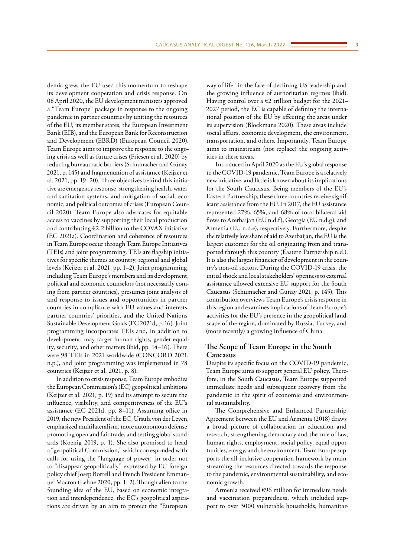demic grew, the EU used this momentum to reshape its development cooperation and crisis response. On 08 April 2020, the EU development ministers approved a "Team Europe" package in response to the ongoing pandemic in partner countries by uniting the resources of the EU, its member states, the European Investment Bank (EIB), and the European Bank for Reconstruction and Development (EBRD) (European Council 2020). Team Europe aims to improve the response to the ongoing crisis as well as future crises (Friesen et al. 2020) by reducing bureaucratic barriers (Schumacher and Günay 2021, p. 145) and fragmentation of assistance (Keijzer et al. 2021, pp. 19–20). Three objectives behind this initiative are emergency response, strengthening health, water, and sanitation systems, and mitigation of social, economic, and political outcomes of crises (European Council 2020). Team Europe also advocates for equitable access to vaccines by supporting their local production and contributing  $E2.2$  billion to the COVAX initiative (EC 2021a). Coordination and coherence of resources in Team Europe occur through Team Europe Initiatives (TEIs) and joint programming. TEIs are flagship initiatives for specific themes at country, regional and global levels (Keijzer et al. 2021, pp. 1–2). Joint programming, including Team Europe's members and its development, political and economic counselors (not necessarily coming from partner countries), presumes joint analysis of and response to issues and opportunities in partner countries in compliance with EU values and interests, partner countries' priorities, and the United Nations Sustainable Development Goals (EC 2021d, p. 16). Joint programming incorporates TEIs and, in addition to development, may target human rights, gender equality, security, and other matters (ibid, pp. 14–16). There were 98 TEIs in 2021 worldwide (CONCORD 2021, n.p.), and joint programming was implemented in 78 countries (Keijzer et al. 2021, p. 8).

In addition to crisis response, Team Europe embodies the European Commission's (EC) geopolitical ambitions (Keijzer et al. 2021, p. 19) and its attempt to secure the influence, visibility, and competitiveness of the EU's assistance (EC 2021d, pp. 8–11). Assuming office in 2019, the new President of the EC, Ursula von der Leyen, emphasized multilateralism, more autonomous defense, promoting open and fair trade, and setting global standards (Koenig 2019, p. 1). She also promised to head a "geopolitical Commission," which corresponded with calls for using the "language of power" in order not to "disappear geopolitically" expressed by EU foreign policy chief Josep Borrell and French President Emmanuel Macron (Lehne 2020, pp. 1–2). Though alien to the founding idea of the EU, based on economic integration and interdependence, the EC's geopolitical aspirations are driven by an aim to protect the "European

way of life" in the face of declining US leadership and the growing influence of authoritarian regimes (ibid). Having control over a  $E2$  trillion budget for the 2021– 2027 period, the EC is capable of defining the international position of the EU by affecting the areas under its supervision (Blockmans 2020). These areas include social affairs, economic development, the environment, transportation, and others. Importantly, Team Europe aims to mainstream (not replace) the ongoing activities in these areas.

Introduced in April 2020 as the EU's global response to the COVID-19 pandemic, Team Europe is a relatively new initiative, and little is known about its implications for the South Caucasus. Being members of the EU's Eastern Partnership, these three countries receive significant assistance from the EU. In 2017, the EU assistance represented 27%, 65%, and 68% of total bilateral aid flows to Azerbaijan (EU n.d.f), Georgia (EU n.d.g), and Armenia (EU n.d.e), respectively. Furthermore, despite the relatively low share of aid to Azerbaijan, the EU is the largest customer for the oil originating from and transported through this country (Eastern Partnership n.d.). It is also the largest financier of development in the country's non-oil sectors. During the COVID-19 crisis, the initial shock and local stakeholders' openness to external assistance allowed extensive EU support for the South Caucasus (Schumacher and Günay 2021, p. 145). This contribution overviews Team Europe's crisis response in this region and examines implications of Team Europe's activities for the EU's presence in the geopolitical landscape of the region, dominated by Russia, Turkey, and (more recently) a growing influence of China.

# **The Scope of Team Europe in the South Caucasus**

Despite its specific focus on the COVID-19 pandemic, Team Europe aims to support general EU policy. Therefore, in the South Caucasus, Team Europe supported immediate needs and subsequent recovery from the pandemic in the spirit of economic and environmental sustainability.

The Comprehensive and Enhanced Partnership Agreement between the EU and Armenia (2018) draws a broad picture of collaboration in education and research, strengthening democracy and the rule of law, human rights, employment, social policy, equal opportunities, energy, and the environment. Team Europe supports the all-inclusive cooperation framework by mainstreaming the resources directed towards the response to the pandemic, environmental sustainability, and economic growth.

Armenia received €96 million for immediate needs and vaccination preparedness, which included support to over 3000 vulnerable households, humanitar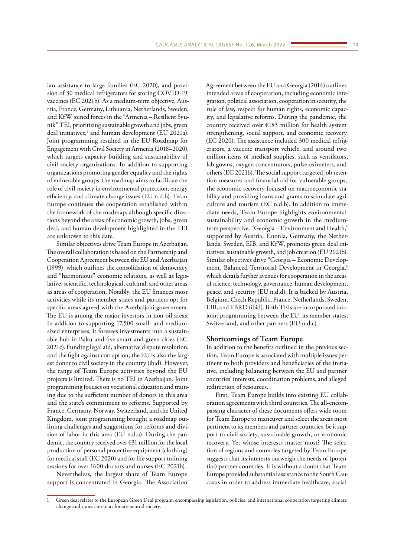ian assistance to large families (EC 2020), and provision of 30 medical refrigerators for storing COVID-19 vaccines (EC 2021b). As a medium-term objective, Austria, France, Germany, Lithuania, Netherlands, Sweden, and KfW joined forces in the "Armenia – Resilient Syunik" TEI, prioritizing sustainable growth and jobs, green deal initiatives,<sup>1</sup> and human development (EU 2021a). Joint programming resulted in the EU Roadmap for Engagement with Civil Society in Armenia (2018–2020), which targets capacity building and sustainability of civil society organizations. In addition to supporting organizations promoting gender equality and the rights of vulnerable groups, the roadmap aims to facilitate the role of civil society in environmental protection, energy efficiency, and climate change issues (EU n.d.b). Team Europe continues the cooperation established within the framework of the roadmap, although specific directions beyond the areas of economic growth, jobs, green deal, and human development highlighted in the TEI are unknown to this date.

Similar objectives drive Team Europe in Azerbaijan. The overall collaboration is based on the Partnership and Cooperation Agreement between the EU and Azerbaijan (1999), which outlines the consolidation of democracy and "harmonious" economic relations, as well as legislative, scientific, technological, cultural, and other areas as areas of cooperation. Notably, the EU finances most activities while its member states and partners opt for specific areas agreed with the Azerbaijani government. The EU is among the major investors in non-oil areas. In addition to supporting 17,500 small- and mediumsized enterprises, it foresees investments into a sustainable hub in Baku and five smart and green cities (EC 2021c). Funding legal aid, alternative dispute resolution, and the fight against corruption, the EU is also the largest donor to civil society in the country (ibid). However, the range of Team Europe activities beyond the EU projects is limited. There is no TEI in Azerbaijan. Joint programming focuses on vocational education and training due to the sufficient number of donors in this area and the state's commitment to reforms. Supported by France, Germany, Norway, Switzerland, and the United Kingdom, joint programming brought a roadmap outlining challenges and suggestions for reforms and division of labor in this area (EU n.d.a). During the pandemic, the country received over €31 million for the local production of personal protective equipment (clothing) for medical staff (EC 2020) and for life support training sessions for over 1600 doctors and nurses (EC 2021b).

Nevertheless, the largest share of Team Europe support is concentrated in Georgia. The Association Agreement between the EU and Georgia (2014) outlines intended areas of cooperation, including economic integration, political association, cooperation in security, the rule of law, respect for human rights, economic capacity, and legislative reforms. During the pandemic, the country received over €183 million for health system strengthening, social support, and economic recovery (EC 2020). The assistance included 300 medical refrigerators, a vaccine transport vehicle, and around two million items of medical supplies, such as ventilators, lab gowns, oxygen concentrators, pulse oximeters, and others (EC 2021b). The social support targeted job retention measures and financial aid for vulnerable groups; the economic recovery focused on macroeconomic stability and providing loans and grants to stimulate agriculture and tourism (EC n.d.b). In addition to immediate needs, Team Europe highlights environmental sustainability and economic growth in the mediumterm perspective. "Georgia – Environment and Health," supported by Austria, Estonia, Germany, the Netherlands, Sweden, EIB, and KfW, promotes green deal initiatives, sustainable growth, and job creation (EU 2021b). Similar objectives drive "Georgia – Economic Development. Balanced Territorial Development in Georgia," which details further avenues for cooperation in the areas of science, technology, governance, human development, peace, and security (EU n.d.d). It is backed by Austria, Belgium, Czech Republic, France, Netherlands, Sweden, EIB, and EBRD (ibid). Both TEIs are incorporated into joint programming between the EU, its member states, Switzerland, and other partners (EU n.d.c).

## **Shortcomings of Team Europe**

In addition to the benefits outlined in the previous section, Team Europe is associated with multiple issues pertinent to both providers and beneficiaries of the initiative, including balancing between the EU and partner countries' interests, coordination problems, and alleged redirection of resources.

First, Team Europe builds into existing EU collaboration agreements with third countries. The all-encompassing character of these documents offers wide room for Team Europe to maneuver and select the areas most pertinent to its members and partner countries, be it support to civil society, sustainable growth, or economic recovery. Yet whose interests matter most? The selection of regions and countries targeted by Team Europe suggests that its interests outweigh the needs of (potential) partner countries. It is without a doubt that Team Europe provided substantial assistance to the South Caucasus in order to address immediate healthcare, social

<sup>1</sup> Green deal relates to the European Green Deal program, encompassing legislation, policies, and international cooperation targeting climate change and transition to a climate-neutral society.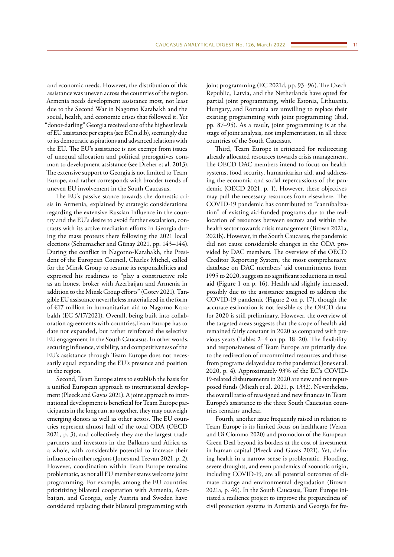and economic needs. However, the distribution of this assistance was uneven across the countries of the region. Armenia needs development assistance most, not least due to the Second War in Nagorno Karabakh and the social, health, and economic crises that followed it. Yet "donor-darling" Georgia received one of the highest levels of EU assistance per capita (see EC n.d.b), seemingly due to its democratic aspirations and advanced relations with the EU. The EU's assistance is not exempt from issues of unequal allocation and political prerogatives common to development assistance (see Dreher et al. 2013). The extensive support to Georgia is not limited to Team Europe, and rather corresponds with broader trends of uneven EU involvement in the South Caucasus.

The EU's passive stance towards the domestic crisis in Armenia, explained by strategic considerations regarding the extensive Russian influence in the country and the EU's desire to avoid further escalation, contrasts with its active mediation efforts in Georgia during the mass protests there following the 2021 local elections (Schumacher and Günay 2021, pp. 143–144). During the conflict in Nagorno-Karabakh, the President of the European Council, Charles Michel, called for the Minsk Group to resume its responsibilities and expressed his readiness to "play a constructive role as an honest broker with Azerbaijan and Armenia in addition to the Minsk Group efforts" (Gotev 2021). Tangible EU assistance nevertheless materialized in the form of €17 million in humanitarian aid to Nagorno Karabakh (EC 5/17/2021). Overall, being built into collaboration agreements with countries,Team Europe has to date not expanded, but rather reinforced the selective EU engagement in the South Caucasus. In other words, securing influence, visibility, and competitiveness of the EU's assistance through Team Europe does not necessarily equal expanding the EU's presence and position in the region.

Second, Team Europe aims to establish the basis for a unified European approach to international development (Pleeck and Gavas 2021). A joint approach to international development is beneficial for Team Europe participants in the long run, as together, they may outweigh emerging donors as well as other actors. The EU countries represent almost half of the total ODA (OECD 2021, p. 3), and collectively they are the largest trade partners and investors in the Balkans and Africa as a whole, with considerable potential to increase their influence in other regions (Jones and Teevan 2021, p. 2). However, coordination within Team Europe remains problematic, as not all EU member states welcome joint programming. For example, among the EU countries prioritizing bilateral cooperation with Armenia, Azerbaijan, and Georgia, only Austria and Sweden have considered replacing their bilateral programming with

joint programming (EC 2021d, pp. 93–96). The Czech Republic, Latvia, and the Netherlands have opted for partial joint programming, while Estonia, Lithuania, Hungary, and Romania are unwilling to replace their existing programming with joint programming (ibid, pp. 87–95). As a result, joint programming is at the stage of joint analysis, not implementation, in all three countries of the South Caucasus.

Third, Team Europe is criticized for redirecting already allocated resources towards crisis management. The OECD DAC members intend to focus on health systems, food security, humanitarian aid, and addressing the economic and social repercussions of the pandemic (OECD 2021, p. 1). However, these objectives may pull the necessary resources from elsewhere. The COVID-19 pandemic has contributed to "cannibalization" of existing aid-funded programs due to the reallocation of resources between sectors and within the health sector towards crisis management (Brown 2021a, 2021b). However, in the South Caucasus, the pandemic did not cause considerable changes in the ODA provided by DAC members. The overview of the OECD Creditor Reporting System, the most comprehensive database on DAC members' aid commitments from 1995 to 2020, suggests no significant reductions in total aid (Figure 1 on p. 16). Health aid slightly increased, possibly due to the assistance assigned to address the COVID-19 pandemic (Figure 2 on p. 17), though the accurate estimation is not feasible as the OECD data for 2020 is still preliminary. However, the overview of the targeted areas suggests that the scope of health aid remained fairly constant in 2020 as compared with previous years (Tables 2–4 on pp. 18–20). The flexibility and responsiveness of Team Europe are primarily due to the redirection of uncommitted resources and those from programs delayed due to the pandemic (Jones et al. 2020, p. 4). Approximately 93% of the EC's COVID-19-related disbursements in 2020 are new and not repurposed funds (Micah et al. 2021, p. 1332). Nevertheless, the overall ratio of reassigned and new finances in Team Europe's assistance to the three South Caucasian countries remains unclear.

Fourth, another issue frequently raised in relation to Team Europe is its limited focus on healthcare (Veron and Di Ciommo 2020) and promotion of the European Green Deal beyond its borders at the cost of investment in human capital (Pleeck and Gavas 2021). Yet, defining health in a narrow sense is problematic. Flooding, severe droughts, and even pandemics of zoonotic origin, including COVID-19, are all potential outcomes of climate change and environmental degradation (Brown 2021a, p. 46). In the South Caucasus, Team Europe initiated a resilience project to improve the preparedness of civil protection systems in Armenia and Georgia for fre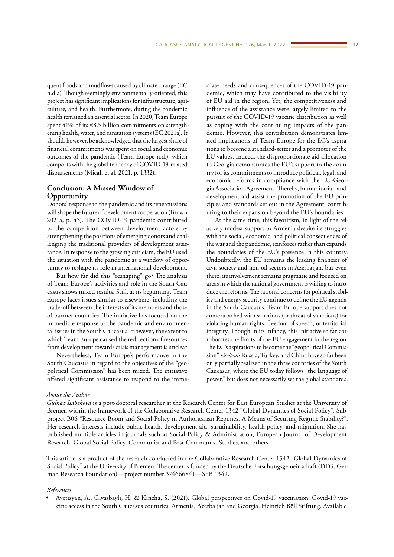quent floods and mudflows caused by climate change (EC n.d.a). Though seemingly environmentally-oriented, this project has significant implications for infrastructure, agriculture, and health. Furthermore, during the pandemic, health remained an essential sector. In 2020, Team Europe spent 41% of its €8.5 billion commitments on strengthening health, water, and sanitation systems (EC 2021a). It should, however, be acknowledged that the largest share of financial commitments was spent on social and economic outcomes of the pandemic (Team Europe n.d.), which comports with the global tendency of COVID-19-related disbursements (Micah et al. 2021, p. 1332).

# **Conclusion: A Missed Window of Opportunity**

Donors' response to the pandemic and its repercussions will shape the future of development cooperation (Brown 2021a, p. 43). The COVID-19 pandemic contributed to the competition between development actors by strengthening the positions of emerging donors and challenging the traditional providers of development assistance. In response to the growing criticism, the EU used the situation with the pandemic as a window of opportunity to reshape its role in international development.

But how far did this "reshaping" go? The analysis of Team Europe's activities and role in the South Caucasus shows mixed results. Still, at its beginning, Team Europe faces issues similar to elsewhere, including the trade-off between the interests of its members and those of partner countries. The initiative has focused on the immediate response to the pandemic and environmental issues in the South Caucasus. However, the extent to which Team Europe caused the redirection of resources from development towards crisis management is unclear.

Nevertheless, Team Europe's performance in the South Caucasus in regard to the objectives of the "geopolitical Commission" has been mixed. The initiative offered significant assistance to respond to the immediate needs and consequences of the COVID-19 pandemic, which may have contributed to the visibility of EU aid in the region. Yet, the competitiveness and influence of the assistance were largely limited to the pursuit of the COVID-19 vaccine distribution as well as coping with the continuing impacts of the pandemic. However, this contribution demonstrates limited implications of Team Europe for the EC's aspirations to become a standard-setter and a promoter of the EU values. Indeed, the disproportionate aid allocation to Georgia demonstrates the EU's support to the country for its commitments to introduce political, legal, and economic reforms in compliance with the EU-Georgia Association Agreement. Thereby, humanitarian and development aid assist the promotion of the EU principles and standards set out in the Agreement, contributing to their expansion beyond the EU's boundaries.

At the same time, this favoritism, in light of the relatively modest support to Armenia despite its struggles with the social, economic, and political consequences of the war and the pandemic, reinforces rather than expands the boundaries of the EU's presence in this country. Undoubtedly, the EU remains the leading financier of civil society and non-oil sectors in Azerbaijan, but even there, its involvement remains pragmatic and focused on areas in which the national government is willing to introduce the reforms. The rational concerns for political stability and energy security continue to define the EU agenda in the South Caucasus. Team Europe support does not come attached with sanctions (or threat of sanctions) for violating human rights, freedom of speech, or territorial integrity. Though in its infancy, this initiative so far corroborates the limits of the EU engagement in the region. The EC's aspirations to become the "geopolitical Commission" *vis-à-vis* Russia, Turkey, and China have so far been only partially realized in the three countries of the South Caucasus, where the EU today follows "the language of power," but does not necessarily set the global standards.

#### *About the Author*

*Gulnaz Isabekova* is a post-doctoral researcher at the Research Center for East European Studies at the University of Bremen within the framework of the Collaborative Research Center 1342 "Global Dynamics of Social Policy", Subproject B06 "Resource Boom and Social Policy in Authoritarian Regimes. A Means of Securing Regime Stability?". Her research interests include public health, development aid, sustainability, health policy, and migration. She has published multiple articles in journals such as Social Policy & Administration, European Journal of Development Research, Global Social Policy, Communist and Post-Communist Studies, and others.

This article is a product of the research conducted in the Collaborative Research Center 1342 "Global Dynamics of Social Policy" at the University of Bremen. The center is funded by the Deutsche Forschungsgemeinschaft (DFG, German Research Foundation)—project number 374666841—SFB 1342.

#### *References*

• Avetisyan, A., Giyasbayli, H. & Kincha, S. (2021). Global perspectives on Covid-19 vaccination. Covid-19 vaccine access in the South Caucasus countries: Armenia, Azerbaijan and Georgia. Heinrich Böll Stiftung. Available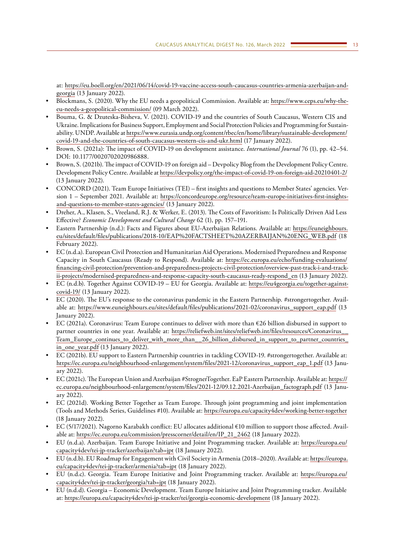at: [https://eu.boell.org/en/2021/06/14/covid-19-vaccine-access-south-caucasus-countries-armenia-azerbaijan-and](https://eu.boell.org/en/2021/06/14/covid-19-vaccine-access-south-caucasus-countries-armenia-azerbaijan-and-georgia)[georgia](https://eu.boell.org/en/2021/06/14/covid-19-vaccine-access-south-caucasus-countries-armenia-azerbaijan-and-georgia) (13 January 2022).

- Blockmans, S. (2020). Why the EU needs a geopolitical Commission. Available at: [https://www.ceps.eu/why-the](https://www.ceps.eu/why-the-eu-needs-a-geopolitical-commission/)[eu-needs-a-geopolitical-commission/](https://www.ceps.eu/why-the-eu-needs-a-geopolitical-commission/) (09 March 2022).
- Bouma, G. & Dzuteska-Bisheva, V. (2021). COVID-19 and the countries of South Caucasus, Western CIS and Ukraine. Implications for Business Support, Employment and Social Protection Policies and Programming for Sustainability. UNDP. Available at [https://www.eurasia.undp.org/content/rbec/en/home/library/sustainable-development/](https://www.eurasia.undp.org/content/rbec/en/home/library/sustainable-development/covid-19-and-the-countries-of-south-caucasus-western-cis-and-ukr.html) [covid-19-and-the-countries-of-south-caucasus-western-cis-and-ukr.html](https://www.eurasia.undp.org/content/rbec/en/home/library/sustainable-development/covid-19-and-the-countries-of-south-caucasus-western-cis-and-ukr.html) (17 January 2022).
- Brown, S. (2021a): The impact of COVID-19 on development assistance. *International Journal* 76 (1), pp. 42–54. DOI: 10.1177/0020702020986888.
- Brown, S. (2021b). The impact of COVID-19 on foreign aid Devpolicy Blog from the Development Policy Centre. Development Policy Centre. Available at<https://devpolicy.org/the-impact-of-covid-19-on-foreign-aid-20210401-2/> (13 January 2022).
- CONCORD (2021). Team Europe Initiatives (TEI) first insights and questions to Member States' agencies. Version 1 – September 2021. Available at: [https://concordeurope.org/resource/team-europe-initiatives-first-insights](https://concordeurope.org/resource/team-europe-initiatives-first-insights-and-questions-to-member-states-agencies/)[and-questions-to-member-states-agencies/](https://concordeurope.org/resource/team-europe-initiatives-first-insights-and-questions-to-member-states-agencies/) (13 January 2022).
- Dreher, A., Klasen, S., Vreeland, R.J. & Werker, E. (2013). The Costs of Favoritism: Is Politically Driven Aid Less Effective? *Economic Development and Cultural Change* 62 (1), pp. 157–191.
- Eastern Partnership (n.d.): Facts and Figures about EU-Azerbaijan Relations. Available at: [https://euneighbours.](https://euneighbours.eu/sites/default/files/publications/2018-10/EAP FACTSHEET AZERBAIJAN ENG_WEB.pdf) [eu/sites/default/files/publications/2018-10/EAP%20FACTSHEET%20AZERBAIJAN%20ENG\\_WEB.pdf](https://euneighbours.eu/sites/default/files/publications/2018-10/EAP FACTSHEET AZERBAIJAN ENG_WEB.pdf) (18 February 2022).
- EC (n.d.a). European Civil Protection and Humanitarian Aid Operations. Modernised Preparedness and Response Capacity in South Caucasus (Ready to Respond). Available at: [https://ec.europa.eu/echo/funding-evaluations/](https://ec.europa.eu/echo/funding-evaluations/financing-civil-protection/prevention-and-preparedness-projects-civil-protection/overview-past-track-i-and-track-ii-projects/modernised-preparedness-and-response-capacity-south-caucasus-ready-respond_en) [financing-civil-protection/prevention-and-preparedness-projects-civil-protection/overview-past-track-i-and-track](https://ec.europa.eu/echo/funding-evaluations/financing-civil-protection/prevention-and-preparedness-projects-civil-protection/overview-past-track-i-and-track-ii-projects/modernised-preparedness-and-response-capacity-south-caucasus-ready-respond_en)[ii-projects/modernised-preparedness-and-response-capacity-south-caucasus-ready-respond\\_en](https://ec.europa.eu/echo/funding-evaluations/financing-civil-protection/prevention-and-preparedness-projects-civil-protection/overview-past-track-i-and-track-ii-projects/modernised-preparedness-and-response-capacity-south-caucasus-ready-respond_en) (13 January 2022).
- EC (n.d.b). Together Against COVID-19 EU for Georgia. Available at: [https://eu4georgia.eu/together-against](https://eu4georgia.eu/together-against-covid-19/)[covid-19/](https://eu4georgia.eu/together-against-covid-19/) (13 January 2022).
- EC (2020). The EU's response to the coronavirus pandemic in the Eastern Partnership. #strongertogether. Available at: [https://www.euneighbours.eu/sites/default/files/publications/2021-02/coronavirus\\_support\\_eap.pdf](https://www.euneighbours.eu/sites/default/files/publications/2021-02/coronavirus_support_eap.pdf) (13 January 2022).
- EC (2021a). Coronavirus: Team Europe continues to deliver with more than  $\epsilon$ 26 billion disbursed in support to partner countries in one year. Available at: https://reliefweb.int/sites/reliefweb.int/files/resources/Coronavirus\_ Team\_Europe\_continues\_to\_deliver\_with\_more\_than\_\_26\_billion\_disbursed\_in\_support\_to\_partner\_countries in one year.pdf (13 January 2022).
- EC (2021b). EU support to Eastern Partnership countries in tackling COVID-19. #strongertogether. Available at: [https://ec.europa.eu/neighbourhood-enlargement/system/files/2021-12/coronavirus\\_support\\_eap\\_1.pdf](https://ec.europa.eu/neighbourhood-enlargement/system/files/2021-12/coronavirus_support_eap_1.pdf) (13 January 2022).
- EC (2021c). The European Union and Azerbaijan #StrognerTogether. EaP Eastern Partnership. Available at: [https://](https://ec.europa.eu/neighbourhood-enlargement/system/files/2021-12/09.12.2021-Azerbaijan_factograph.pdf) [ec.europa.eu/neighbourhood-enlargement/system/files/2021-12/09.12.2021-Azerbaijan\\_factograph.pdf](https://ec.europa.eu/neighbourhood-enlargement/system/files/2021-12/09.12.2021-Azerbaijan_factograph.pdf) (13 January 2022).
- EC (2021d). Working Better Together as Team Europe. Through joint programming and joint implementation (Tools and Methods Series, Guidelines #10). Available at:<https://europa.eu/capacity4dev/working-better-together> (18 January 2022).
- EC (5/17/2021). Nagorno Karabakh conflict: EU allocates additional €10 million to support those affected. Available at: [https://ec.europa.eu/commission/presscorner/detail/en/IP\\_21\\_2462](https://ec.europa.eu/commission/presscorner/detail/en/IP_21_2462) (18 January 2022).
- EU (n.d.a). Azerbaijan. Team Europe Initiative and Joint Programming tracker. Available at: [https://europa.eu/](https://europa.eu/capacity4dev/tei-jp-tracker/azerbaijan?tab=jpt) [capacity4dev/tei-jp-tracker/azerbaijan?tab=jpt](https://europa.eu/capacity4dev/tei-jp-tracker/azerbaijan?tab=jpt) (18 January 2022).
- EU (n.d.b). EU Roadmap for Engagement with Civil Society in Armenia (2018–2020). Available at: [https://europa.](https://europa.eu/capacity4dev/tei-jp-tracker/armenia?tab=jpt) [eu/capacity4dev/tei-jp-tracker/armenia?tab=jpt](https://europa.eu/capacity4dev/tei-jp-tracker/armenia?tab=jpt) (18 January 2022).
- EU (n.d.c). Georgia. Team Europe Initiative and Joint Programming tracker. Available at: [https://europa.eu/](https://europa.eu/capacity4dev/tei-jp-tracker/georgia?tab=jpt) [capacity4dev/tei-jp-tracker/georgia?tab=jpt](https://europa.eu/capacity4dev/tei-jp-tracker/georgia?tab=jpt) (18 January 2022).
- EU (n.d.d). Georgia Economic Development. Team Europe Initiative and Joint Programming tracker. Available at: <https://europa.eu/capacity4dev/tei-jp-tracker/tei/georgia-economic-development> (18 January 2022).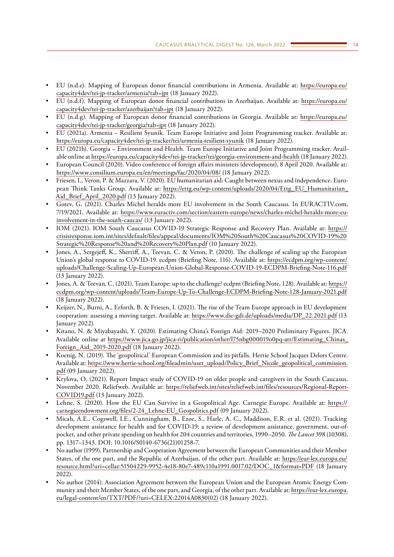- EU (n.d.e). Mapping of European donor financial contributions in Armenia. Available at: [https://europa.eu/](https://europa.eu/capacity4dev/tei-jp-tracker/armenia?tab=jpt) [capacity4dev/tei-jp-tracker/armenia?tab=jpt](https://europa.eu/capacity4dev/tei-jp-tracker/armenia?tab=jpt) (18 January 2022).
- EU (n.d.f). Mapping of European donor financial contributions in Azerbaijan. Available at: [https://europa.eu/](https://europa.eu/capacity4dev/tei-jp-tracker/azerbaijan?tab=jpt) [capacity4dev/tei-jp-tracker/azerbaijan?tab=jpt](https://europa.eu/capacity4dev/tei-jp-tracker/azerbaijan?tab=jpt) (18 January 2022).
- EU (n.d.g). Mapping of European donor financial contributions in Georgia. Available at: [https://europa.eu/](https://europa.eu/capacity4dev/tei-jp-tracker/georgia?tab=jpt) [capacity4dev/tei-jp-tracker/georgia?tab=jpt](https://europa.eu/capacity4dev/tei-jp-tracker/georgia?tab=jpt) (18 January 2022).
- EU (2021a). Armenia Resilient Syunik. Team Europe Initiative and Joint Programming tracker. Available at: <https://europa.eu/capacity4dev/tei-jp-tracker/tei/armenia-resilient-syunik>(18 January 2022).
- EU (2021b). Georgia Environment and Health. Team Europe Initiative and Joint Programming tracker. Available online at<https://europa.eu/capacity4dev/tei-jp-tracker/tei/georgia-environment-and-health>(18 January 2022).
- European Council (2020). Video conference of foreign affairs ministers (development), 8 April 2020. Available at: <https://www.consilium.europa.eu/en/meetings/fac/2020/04/08/> (18 January 2022).
- Friesen, I., Veron, P. & Mazzara, V. (2020). EU humanitarian aid: Caught between nexus and independence. European Think Tanks Group. Available at: [https://ettg.eu/wp-content/uploads/2020/04/Ettg\\_EU\\_Humanitarian\\_](https://ettg.eu/wp-content/uploads/2020/04/Ettg_EU_Humanitarian_Aid_Brief_April_2020.pdf) [Aid\\_Brief\\_April\\_2020.pdf](https://ettg.eu/wp-content/uploads/2020/04/Ettg_EU_Humanitarian_Aid_Brief_April_2020.pdf) (13 January 2022).
- Gotev, G. (2021). Charles Michel heralds more EU involvement in the South Caucasus. In EURACTIV.com, 7/19/2021. Available at: [https://www.euractiv.com/section/eastern-europe/news/charles-michel-heralds-more-eu](https://www.euractiv.com/section/eastern-europe/news/charles-michel-heralds-more-eu-involvement-in-the-south-caucas/)[involvement-in-the-south-caucas/](https://www.euractiv.com/section/eastern-europe/news/charles-michel-heralds-more-eu-involvement-in-the-south-caucas/) (13 January 2022).
- IOM (2021). IOM South Caucasus COVID-19 Strategic Response and Recovery Plan. Available at: [https://](https://crisisresponse.iom.int/sites/default/files/appeal/documents/IOM South Caucasus COVID-19 Strategic Response and Recovery Plan.pdf) [crisisresponse.iom.int/sites/default/files/appeal/documents/IOM%20South%20Caucasus%20COVID-19%20](https://crisisresponse.iom.int/sites/default/files/appeal/documents/IOM South Caucasus COVID-19 Strategic Response and Recovery Plan.pdf) [Strategic%20Response%20and%20Recovery%20Plan.pdf](https://crisisresponse.iom.int/sites/default/files/appeal/documents/IOM South Caucasus COVID-19 Strategic Response and Recovery Plan.pdf) (10 January 2022).
- Jones, A., Sergejeff, K., Sherriff, A., Teevan, C. & Veron, P. (2020). The challenge of scaling up the European Union's global response to COVID-19. ecdpm (Briefing Note, 116). Available at: [https://ecdpm.org/wp-content/](https://ecdpm.org/wp-content/uploads/Challenge-Scaling-Up-European-Union-Global-Response-COVID-19-ECDPM-Briefing-Note-116.pdf) [uploads/Challenge-Scaling-Up-European-Union-Global-Response-COVID-19-ECDPM-Briefing-Note-116.pdf](https://ecdpm.org/wp-content/uploads/Challenge-Scaling-Up-European-Union-Global-Response-COVID-19-ECDPM-Briefing-Note-116.pdf) (13 January 2022).
- Jones, A. & Teevan, C. (2021). Team Europe: up to the challenge? ecdpm (Briefing Note, 128). Available at: [https://](https://ecdpm.org/wp-content/uploads/Team-Europe-Up-To-Challenge-ECDPM-Briefing-Note-128-January-2021.pdf) [ecdpm.org/wp-content/uploads/Team-Europe-Up-To-Challenge-ECDPM-Briefing-Note-128-January-2021.pdf](https://ecdpm.org/wp-content/uploads/Team-Europe-Up-To-Challenge-ECDPM-Briefing-Note-128-January-2021.pdf) (18 January 2022).
- Keijzer, N., Burni, A., Erforth, B. & Friesen, I. (2021). The rise of the Team Europe approach in EU development cooperation: assessing a moving target. Available at: [https://www.die-gdi.de/uploads/media/DP\\_22.2021.pdf](https://www.die-gdi.de/uploads/media/DP_22.2021.pdf) (13 January 2022).
- Kitano, N. & Miyabayashi, Y. (2020). Estimating China's Foreign Aid: 2019–2020 Preliminary Figures. JICA. Available online at [https://www.jica.go.jp/jica-ri/publication/other/l75nbg000019o0pq-att/Estimating\\_Chinas\\_](https://www.jica.go.jp/jica-ri/publication/other/l75nbg000019o0pq-att/Estimating_Chinas_Foreign_Aid_2019-2020.pdf) [Foreign\\_Aid\\_2019-2020.pdf](https://www.jica.go.jp/jica-ri/publication/other/l75nbg000019o0pq-att/Estimating_Chinas_Foreign_Aid_2019-2020.pdf) (18 January 2022).
- Koenig, N. (2019). The 'geopolitical' European Commission and its pitfalls. Hertie School Jacques Delors Centre. Available at: [https://www.hertie-school.org/fileadmin/user\\_upload/Policy\\_Brief\\_Nicole\\_geopolitical\\_commission.](https://www.hertie-school.org/fileadmin/user_upload/Policy_Brief_Nicole_geopolitical_commission.pdf) [pdf](https://www.hertie-school.org/fileadmin/user_upload/Policy_Brief_Nicole_geopolitical_commission.pdf) (09 January 2022).
- Krylova, O. (2021). Report Impact study of COVID-19 on older people and caregivers in the South Caucasus. November 2020. Reliefweb. Available at: [https://reliefweb.int/sites/reliefweb.int/files/resources/Regional-Report-](https://reliefweb.int/sites/reliefweb.int/files/resources/Regional-Report-COVID19.pdf)[COVID19.pdf](https://reliefweb.int/sites/reliefweb.int/files/resources/Regional-Report-COVID19.pdf) (13 January 2022).
- Lehne, S. (2020). How the EU Can Survive in a Geopolitical Age. Carnegie Europe. Available at: [https://](https://carnegieendowment.org/files/2-24_Lehne-EU_Geopolitics.pdf) [carnegieendowment.org/files/2-24\\_Lehne-EU\\_Geopolitics.pdf](https://carnegieendowment.org/files/2-24_Lehne-EU_Geopolitics.pdf) (09 January 2022).
- Micah, A.E., Cogswell, I.E., Cunningham, B., Ezoe, S., Harle, A. C., Maddison, E.R. et al. (2021). Tracking development assistance for health and for COVID-19: a review of development assistance, government, out-ofpocket, and other private spending on health for 204 countries and territories, 1990–2050. *The Lancet* 398 (10308), pp. 1317–1343. DOI: 10.1016/S0140-6736(21)01258-7.
- No author (1999). Partnership and Cooperation Agreement between the European Communities and their Member States, of the one part, and the Republic of Azerbaijan, of the other part. Available at: [https://eur-lex.europa.eu/](https://eur-lex.europa.eu/resource.html?uri=cellar:51504229-9952-4e18-80e7-489c110a1991.0017.02/DOC_1&format=PDF) [resource.html?uri=cellar:51504229-9952-4e18-80e7-489c110a1991.0017.02/DOC\\_1&format=PDF](https://eur-lex.europa.eu/resource.html?uri=cellar:51504229-9952-4e18-80e7-489c110a1991.0017.02/DOC_1&format=PDF) (18 January 2022).
- No author (2014). Association Agreement between the European Union and the European Atomic Energy Community and their Member States, of the one part, and Georgia, of the other part. Available at: [https://eur-lex.europa.](https://eur-lex.europa.eu/legal-content/en/TXT/PDF/?uri=CELEX:22014A0830(02)) [eu/legal-content/en/TXT/PDF/?uri=CELEX:22014A0830\(02\)](https://eur-lex.europa.eu/legal-content/en/TXT/PDF/?uri=CELEX:22014A0830(02)) (18 January 2022).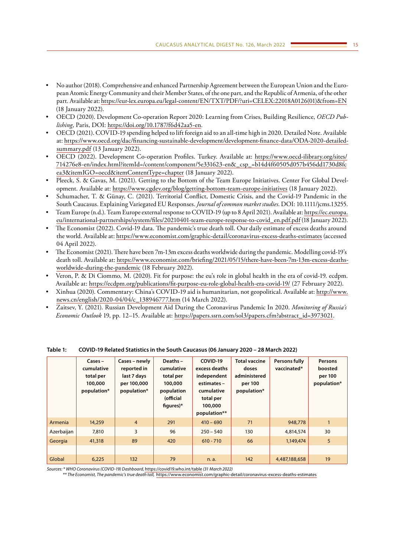- No author (2018). Comprehensive and enhanced Partnership Agreement between the European Union and the European Atomic Energy Community and their Member States, of the one part, and the Republic of Armenia, of the other part. Available at: [https://eur-lex.europa.eu/legal-content/EN/TXT/PDF/?uri=CELEX:22018A0126\(01\)&from=EN](https://eur-lex.europa.eu/legal-content/EN/TXT/PDF/?uri=CELEX:22018A0126(01)&from=EN) (18 January 2022).
- OECD (2020). Development Co-operation Report 2020: Learning from Crises, Building Resilience, *OECD Publishing*, Paris, DOI: [https://doi.org/10.1787/f6d42aa5-en.](https://doi.org/10.1787/f6d42aa5-en)
- OECD (2021). COVID-19 spending helped to lift foreign aid to an all-time high in 2020. Detailed Note. Available at: [https://www.oecd.org/dac/financing-sustainable-development/development-finance-data/ODA-2020-detailed](https://www.oecd.org/dac/financing-sustainable-development/development-finance-data/ODA-2020-detailed-summary.pdf)[summary.pdf](https://www.oecd.org/dac/financing-sustainable-development/development-finance-data/ODA-2020-detailed-summary.pdf) (13 January 2022).
- OECD (2022). Development Co-operation Profiles. Turkey. Available at: [https://www.oecd-ilibrary.org/sites/](https://www.oecd-ilibrary.org/sites/714276e8-en/index.html?itemId=/content/component/5e331623-en&_csp_=b14d4f60505d057b456dd1730d8fcea3&itemIGO=oecd&itemContentType=chapter) [714276e8-en/index.html?itemId=/content/component/5e331623-en&\\_csp\\_=b14d4f60505d057b456dd1730d8fc](https://www.oecd-ilibrary.org/sites/714276e8-en/index.html?itemId=/content/component/5e331623-en&_csp_=b14d4f60505d057b456dd1730d8fcea3&itemIGO=oecd&itemContentType=chapter) [ea3&itemIGO=oecd&itemContentType=chapter](https://www.oecd-ilibrary.org/sites/714276e8-en/index.html?itemId=/content/component/5e331623-en&_csp_=b14d4f60505d057b456dd1730d8fcea3&itemIGO=oecd&itemContentType=chapter) (18 January 2022).
- Pleeck, S. & Gavas, M. (2021). Getting to the Bottom of the Team Europe Initiatives. Center For Global Development. Available at:<https://www.cgdev.org/blog/getting-bottom-team-europe-initiatives> (18 January 2022).
- Schumacher, T. & Günay, C. (2021). Territorial Conflict, Domestic Crisis, and the Covid-19 Pandemic in the South Caucasus. Explaining Variegated EU Responses. *Journal of common market studies*. DOI: 10.1111/jcms.13255.
- Team Europe (n.d.). Team Europe external response to COVID-19 (up to 8 April 2021). Available at: [https://ec.europa.](https://ec.europa.eu/international-partnerships/system/files/20210401-team-europe-response-to-covid_en.pdf.pdf) [eu/international-partnerships/system/files/20210401-team-europe-response-to-covid\\_en.pdf.pdf](https://ec.europa.eu/international-partnerships/system/files/20210401-team-europe-response-to-covid_en.pdf.pdf) (18 January 2022).
- The Economist (2022). Covid-19 data. The pandemic's true death toll. Our daily estimate of excess deaths around the world. Available at:<https://www.economist.com/graphic-detail/coronavirus-excess-deaths-estimates>(accessed 04 April 2022).
- The Economist (2021). There have been 7m-13m excess deaths worldwide during the pandemic. Modelling covid-19's death toll. Available at: [https://www.economist.com/briefing/2021/05/15/there-have-been-7m-13m-excess-deaths](https://www.economist.com/briefing/2021/05/15/there-have-been-7m-13m-excess-deaths-worldwide-during-the-pandemic)[worldwide-during-the-pandemic](https://www.economist.com/briefing/2021/05/15/there-have-been-7m-13m-excess-deaths-worldwide-during-the-pandemic) (18 February 2022).
- Veron, P. & Di Ciommo, M. (2020). Fit for purpose: the eu's role in global health in the era of covid-19. ecdpm. Available at: <https://ecdpm.org/publications/fit-purpose-eu-role-global-health-era-covid-19/> (27 February 2022).
- Xinhua (2020). Commentary: China's COVID-19 aid is humanitarian, not geopolitical. Available at: [http://www.](http://www.news.cn/english/2020-04/04/c_138946777.htm) [news.cn/english/2020-04/04/c\\_138946777.htm](http://www.news.cn/english/2020-04/04/c_138946777.htm) (14 March 2022).
- Zaitsev, Y. (2021). Russian Development Aid During the Coronavirus Pandemic In 2020. *Monitoring of Russia's Economic Outlook* 19, pp. 12–15. Available at: [https://papers.ssrn.com/sol3/papers.cfm?abstract\\_id=3973021](https://papers.ssrn.com/sol3/papers.cfm?abstract_id=3973021).

|            | $\textsf{Cases}-$<br>cumulative<br>total per<br>100,000<br>population* | Cases - newly<br>reported in<br>last 7 days<br>per 100,000<br>population* | Deaths-<br>cumulative<br>total per<br>100,000<br>population<br>(official<br>figures) $*$ | COVID-19<br>excess deaths<br>independent<br>estimates -<br>cumulative<br>total per<br>100,000<br>population** | <b>Total vaccine</b><br>doses<br>administered<br>per 100<br>population* | Persons fully<br>vaccinated* | Persons<br>boosted<br>per 100<br>population* |
|------------|------------------------------------------------------------------------|---------------------------------------------------------------------------|------------------------------------------------------------------------------------------|---------------------------------------------------------------------------------------------------------------|-------------------------------------------------------------------------|------------------------------|----------------------------------------------|
| Armenia    | 14,259                                                                 | $\overline{4}$                                                            | 291                                                                                      | $410 - 690$                                                                                                   | 71                                                                      | 948,778                      | $\mathbf{1}$                                 |
| Azerbaijan | 7,810                                                                  | 3                                                                         | 96                                                                                       | $250 - 540$                                                                                                   | 130                                                                     | 4,814,574                    | 30                                           |
| Georgia    | 41,318                                                                 | 89                                                                        | 420                                                                                      | $610 - 710$                                                                                                   | 66                                                                      | 1,149,474                    | 5                                            |
|            |                                                                        |                                                                           |                                                                                          |                                                                                                               |                                                                         |                              |                                              |
| Global     | 6,225                                                                  | 132                                                                       | 79                                                                                       | n. a.                                                                                                         | 142                                                                     | 4,487,188,658                | 19                                           |

**Table 1: COVID-19 Related Statistics in the South Caucasus (06 January 2020 – 28 March 2022)**

*Sources: \* WHO Coronavirus (COVID-19) Dashboard,* <https://covid19.who.int/table> *(31 March 2022)*

*\*\* The Economist, The pandemic's true death toll,* <https://www.economist.com/graphic-detail/coronavirus-excess-deaths-estimates>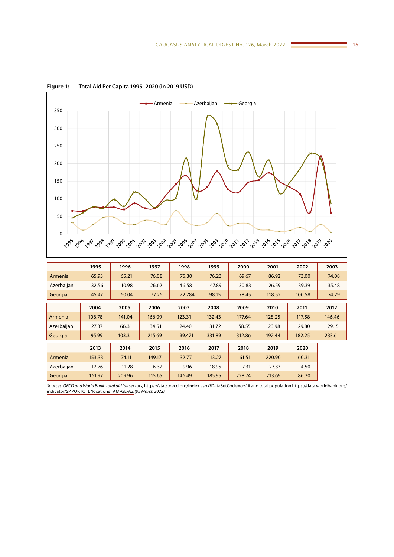

**Figure 1: Total Aid Per Capita 1995–2020 (in 2019 USD)**

|            | 1995   | 1996   | 1997   | 1998   | 1999   | 2000   | 2001   | 2002   | 2003   |
|------------|--------|--------|--------|--------|--------|--------|--------|--------|--------|
| Armenia    | 65.93  | 65.21  | 76.08  | 75.30  | 76.23  | 69.67  | 86.92  | 73.00  | 74.08  |
| Azerbaijan | 32.56  | 10.98  | 26.62  | 46.58  | 47.89  | 30.83  | 26.59  | 39.39  | 35.48  |
| Georgia    | 45.47  | 60.04  | 77.26  | 72.784 | 98.15  | 78.45  | 118.52 | 100.58 | 74.29  |
|            | 2004   | 2005   | 2006   | 2007   | 2008   | 2009   | 2010   | 2011   | 2012   |
| Armenia    | 108.78 | 141.04 | 166.09 | 123.31 | 132.43 | 177.64 | 128.25 | 117.58 | 146.46 |
| Azerbaijan | 27.37  | 66.31  | 34.51  | 24.40  | 31.72  | 58.55  | 23.98  | 29.80  | 29.15  |
| Georgia    | 95.99  | 103.3  | 215.69 | 99.471 | 331.89 | 312.86 | 192.44 | 182.25 | 233.6  |
|            | 2013   | 2014   | 2015   | 2016   | 2017   | 2018   | 2019   | 2020   |        |
| Armenia    | 153.33 | 174.11 | 149.17 | 132.77 | 113.27 | 61.51  | 220.90 | 60.31  |        |
| Azerbaijan | 12.76  | 11.28  | 6.32   | 9.96   | 18.95  | 7.31   | 27.33  | 4.50   |        |
| Georgia    | 161.97 | 209.96 | 115.65 | 146.49 | 185.95 | 228.74 | 213.69 | 86.30  |        |

*Sources: OECD and World Bank: total aid (all sectors)* [https://stats.oecd.org/Index.aspx?DataSetCode=crs1# and total population https://data.worldbank.org/](https://stats.oecd.org/Index.aspx?DataSetCode=crs1# and total population https://data.worldbank.org/indicator/SP.POP.TOTL?locations=AM-GE-AZ) [indicator/SP.POP.TOTL?locations=AM-GE-AZ](https://stats.oecd.org/Index.aspx?DataSetCode=crs1# and total population https://data.worldbank.org/indicator/SP.POP.TOTL?locations=AM-GE-AZ) *(05 March 2022)*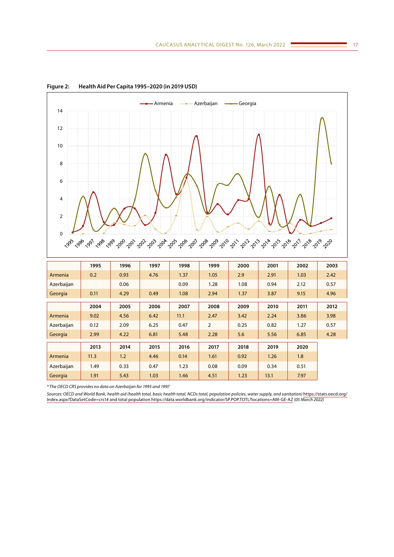

**Figure 2: Health Aid Per Capita 1995–2020 (in 2019 USD)**

|            | 1995 | 1996 | 1997 | 1998 | 1999           | 2000 | 2001 | 2002 | 2003 |
|------------|------|------|------|------|----------------|------|------|------|------|
| Armenia    | 0.2  | 0.93 | 4.76 | 1.37 | 1.05           | 2.9  | 2.91 | 1.03 | 2.42 |
| Azerbaijan |      | 0.06 |      | 0.09 | 1.28           | 1.08 | 0.94 | 2.12 | 0.57 |
| Georgia    | 0.11 | 4.29 | 0.49 | 1.08 | 2.94           | 1.37 | 3.87 | 9.15 | 4.96 |
|            | 2004 | 2005 | 2006 | 2007 | 2008           | 2009 | 2010 | 2011 | 2012 |
| Armenia    | 9.02 | 4.56 | 6.42 | 11.1 | 2.47           | 3.42 | 2.24 | 3.86 | 3.98 |
| Azerbaijan | 0.12 | 2.09 | 6.25 | 0.47 | $\overline{2}$ | 0.25 | 0.82 | 1.27 | 0.57 |
| Georgia    | 2.99 | 4.22 | 6.81 | 5.48 | 2.28           | 5.6  | 5.56 | 6.85 | 4.28 |
|            | 2013 | 2014 | 2015 | 2016 | 2017           | 2018 | 2019 | 2020 |      |
| Armenia    | 11.3 | 1.2  | 4.46 | 0.14 | 1.61           | 0.92 | 1.26 | 1.8  |      |
| Azerbaijan | 1.49 | 0.33 | 0.47 | 1.23 | 0.08           | 0.09 | 0.34 | 0.51 |      |
| Georgia    | 1.91 | 5.43 | 1.03 | 1.46 | 4.51           | 1.23 | 13.1 | 7.97 |      |

*\* The OECD CRS provides no data on Azerbaijan for 1995 and 1997*

*Sources: OECD and World Bank, health aid (health total, basic health total, NCDs total, population policies, water supply, and sanitation)* [https://stats.oecd.org/](https://stats.oecd.org/Index.aspx?DataSetCode=crs1# and total population https://data.worldbank.org/indicator/SP.POP.TOTL?locations=AM-GE-AZ) [Index.aspx?DataSetCode=crs1# and total population https://data.worldbank.org/indicator/SP.POP.TOTL?locations=AM-GE-AZ](https://stats.oecd.org/Index.aspx?DataSetCode=crs1# and total population https://data.worldbank.org/indicator/SP.POP.TOTL?locations=AM-GE-AZ) *(05 March 2022)*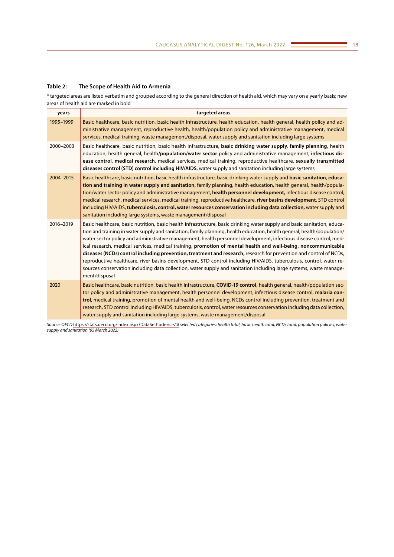## **Table 2: The Scope of Health Aid to Armenia**

\* targeted areas are listed verbatim and grouped according to the general direction of health aid, which may vary on a yearly basis; new areas of health aid are marked in bold

| years     | targeted areas                                                                                                                                                                                                                                                                                                                                                                                                                                                                                                                                                                                                                                                                                                                                                                                                                                                                |
|-----------|-------------------------------------------------------------------------------------------------------------------------------------------------------------------------------------------------------------------------------------------------------------------------------------------------------------------------------------------------------------------------------------------------------------------------------------------------------------------------------------------------------------------------------------------------------------------------------------------------------------------------------------------------------------------------------------------------------------------------------------------------------------------------------------------------------------------------------------------------------------------------------|
| 1995-1999 | Basic healthcare, basic nutrition, basic health infrastructure, health education, health general, health policy and ad-<br>ministrative management, reproductive health, health/population policy and administrative management, medical<br>services, medical training, waste management/disposal, water supply and sanitation including large systems                                                                                                                                                                                                                                                                                                                                                                                                                                                                                                                        |
| 2000-2003 | Basic healthcare, basic nutrition, basic health infrastructure, basic drinking water supply, family planning, health<br>education, health general, health/population/water sector policy and administrative management, infectious dis-<br>ease control, medical research, medical services, medical training, reproductive healthcare, sexually transmitted<br>diseases control (STD) control including HIV/AIDS, water supply and sanitation including large systems                                                                                                                                                                                                                                                                                                                                                                                                        |
| 2004-2015 | Basic healthcare, basic nutrition, basic health infrastructure, basic drinking water supply and basic sanitation, educa-<br>tion and training in water supply and sanitation, family planning, health education, health general, health/popula-<br>tion/water sector policy and administrative management, health personnel development, infectious disease control,<br>medical research, medical services, medical training, reproductive healthcare, river basins development, STD control<br>including HIV/AIDS, tuberculosis, control, water resources conservation including data collection, water supply and<br>sanitation including large systems, waste management/disposal                                                                                                                                                                                          |
| 2016-2019 | Basic healthcare, basic nutrition, basic health infrastructure, basic drinking water supply and basic sanitation, educa-<br>tion and training in water supply and sanitation, family planning, health education, health general, health/population/<br>water sector policy and administrative management, health personnel development, infectious disease control, med-<br>ical research, medical services, medical training, promotion of mental health and well-being, noncommunicable<br>diseases (NCDs) control including prevention, treatment and research, research for prevention and control of NCDs,<br>reproductive healthcare, river basins development, STD control including HIV/AIDS, tuberculosis, control, water re-<br>sources conservation including data collection, water supply and sanitation including large systems, waste manage-<br>ment/disposal |
| 2020      | Basic healthcare, basic nutrition, basic health infrastructure, COVID-19 control, health general, health/population sec-<br>tor policy and administrative management, health personnel development, infectious disease control, malaria con-<br>trol, medical training, promotion of mental health and well-being, NCDs control including prevention, treatment and<br>research, STD control including HIV/AIDS, tuberculosis, control, water resources conservation including data collection,<br>water supply and sanitation including large systems, waste management/disposal                                                                                                                                                                                                                                                                                             |

*Source: OECD* <https://stats.oecd.org/Index.aspx?DataSetCode=crs1#> *selected categories: health total, basic health total, NCDs total, population policies, water supply and sanitation (05 March 2022)*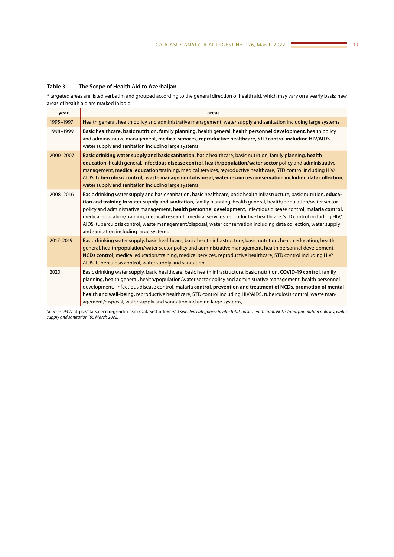# **Table 3: The Scope of Health Aid to Azerbaijan**

\* targeted areas are listed verbatim and grouped according to the general direction of health aid, which may vary on a yearly basis; new areas of health aid are marked in bold

| year      | areas                                                                                                                                                                                                                                                                                                                                                                                                                                                                                                                                                                                                                                                   |
|-----------|---------------------------------------------------------------------------------------------------------------------------------------------------------------------------------------------------------------------------------------------------------------------------------------------------------------------------------------------------------------------------------------------------------------------------------------------------------------------------------------------------------------------------------------------------------------------------------------------------------------------------------------------------------|
| 1995-1997 | Health general, health policy and administrative management, water supply and sanitation including large systems                                                                                                                                                                                                                                                                                                                                                                                                                                                                                                                                        |
| 1998-1999 | Basic healthcare, basic nutrition, family planning, health general, health personnel development, health policy<br>and administrative management, medical services, reproductive healthcare, STD control including HIV/AIDS,<br>water supply and sanitation including large systems                                                                                                                                                                                                                                                                                                                                                                     |
| 2000-2007 | Basic drinking water supply and basic sanitation, basic healthcare, basic nutrition, family planning, health<br>education, health general, infectious disease control, health/population/water sector policy and administrative<br>management, medical education/training, medical services, reproductive healthcare, STD control including HIV/<br>AIDS, tuberculosis control, waste management/disposal, water resources conservation including data collection,<br>water supply and sanitation including large systems                                                                                                                               |
| 2008-2016 | Basic drinking water supply and basic sanitation, basic healthcare, basic health infrastructure, basic nutrition, educa-<br>tion and training in water supply and sanitation, family planning, health general, health/population/water sector<br>policy and administrative management, health personnel development, infectious disease control, malaria control,<br>medical education/training, medical research, medical services, reproductive healthcare, STD control including HIV/<br>AIDS, tuberculosis control, waste management/disposal, water conservation including data collection, water supply<br>and sanitation including large systems |
| 2017-2019 | Basic drinking water supply, basic healthcare, basic health infrastructure, basic nutrition, health education, health<br>general, health/population/water sector policy and administrative management, health personnel development,<br>NCDs control, medical education/training, medical services, reproductive healthcare, STD control including HIV/<br>AIDS, tuberculosis control, water supply and sanitation                                                                                                                                                                                                                                      |
| 2020      | Basic drinking water supply, basic healthcare, basic health infrastructure, basic nutrition, COVID-19 control, family<br>planning, health general, health/population/water sector policy and administrative management, health personnel<br>development, infectious disease control, malaria control, prevention and treatment of NCDs, promotion of mental<br>health and well-being, reproductive healthcare, STD control including HIV/AIDS, tuberculosis control, waste man-<br>agement/disposal, water supply and sanitation including large systems,                                                                                               |

*Source: OECD* <https://stats.oecd.org/Index.aspx?DataSetCode=crs1#> *selected categories: health total, basic health total, NCDs total, population policies, water supply and sanitation (05 March 2022)*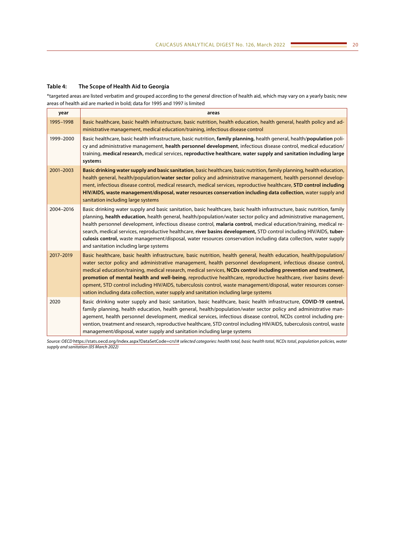## **Table 4: The Scope of Health Aid to Georgia**

\*targeted areas are listed verbatim and grouped according to the general direction of health aid, which may vary on a yearly basis; new areas of health aid are marked in bold; data for 1995 and 1997 is limited

| year      | areas                                                                                                                                                                                                                                                                                                                                                                                                                                                                                                                                                                                                                                                                                     |
|-----------|-------------------------------------------------------------------------------------------------------------------------------------------------------------------------------------------------------------------------------------------------------------------------------------------------------------------------------------------------------------------------------------------------------------------------------------------------------------------------------------------------------------------------------------------------------------------------------------------------------------------------------------------------------------------------------------------|
| 1995-1998 | Basic healthcare, basic health infrastructure, basic nutrition, health education, health general, health policy and ad-<br>ministrative management, medical education/training, infectious disease control                                                                                                                                                                                                                                                                                                                                                                                                                                                                                |
| 1999-2000 | Basic healthcare, basic health infrastructure, basic nutrition, family planning, health general, health/population poli-<br>cy and administrative management, health personnel development, infectious disease control, medical education/<br>training, medical research, medical services, reproductive healthcare, water supply and sanitation including large<br>systems                                                                                                                                                                                                                                                                                                               |
| 2001-2003 | Basic drinking water supply and basic sanitation, basic healthcare, basic nutrition, family planning, health education,<br>health general, health/population/water sector policy and administrative management, health personnel develop-<br>ment, infectious disease control, medical research, medical services, reproductive healthcare, STD control including<br>HIV/AIDS, waste management/disposal, water resources conservation including data collection, water supply and<br>sanitation including large systems                                                                                                                                                                  |
| 2004-2016 | Basic drinking water supply and basic sanitation, basic healthcare, basic health infrastructure, basic nutrition, family<br>planning, health education, health general, health/population/water sector policy and administrative management,<br>health personnel development, infectious disease control, malaria control, medical education/training, medical re-<br>search, medical services, reproductive healthcare, river basins development, STD control including HIV/AIDS, tuber-<br>culosis control, waste management/disposal, water resources conservation including data collection, water supply<br>and sanitation including large systems                                   |
| 2017-2019 | Basic healthcare, basic health infrastructure, basic nutrition, health general, health education, health/population/<br>water sector policy and administrative management, health personnel development, infectious disease control,<br>medical education/training, medical research, medical services, NCDs control including prevention and treatment,<br>promotion of mental health and well-being, reproductive healthcare, reproductive healthcare, river basins devel-<br>opment, STD control including HIV/AIDS, tuberculosis control, waste management/disposal, water resources conser-<br>vation including data collection, water supply and sanitation including large systems |
| 2020      | Basic drinking water supply and basic sanitation, basic healthcare, basic health infrastructure, COVID-19 control,<br>family planning, health education, health general, health/population/water sector policy and administrative man-<br>agement, health personnel development, medical services, infectious disease control, NCDs control including pre-<br>vention, treatment and research, reproductive healthcare, STD control including HIV/AIDS, tuberculosis control, waste<br>management/disposal, water supply and sanitation including large systems                                                                                                                           |

*Source: OECD* <https://stats.oecd.org/Index.aspx?DataSetCode=crs1#> *selected categories: health total, basic health total, NCDs total, population policies, water supply and sanitation (05 March 2022)*